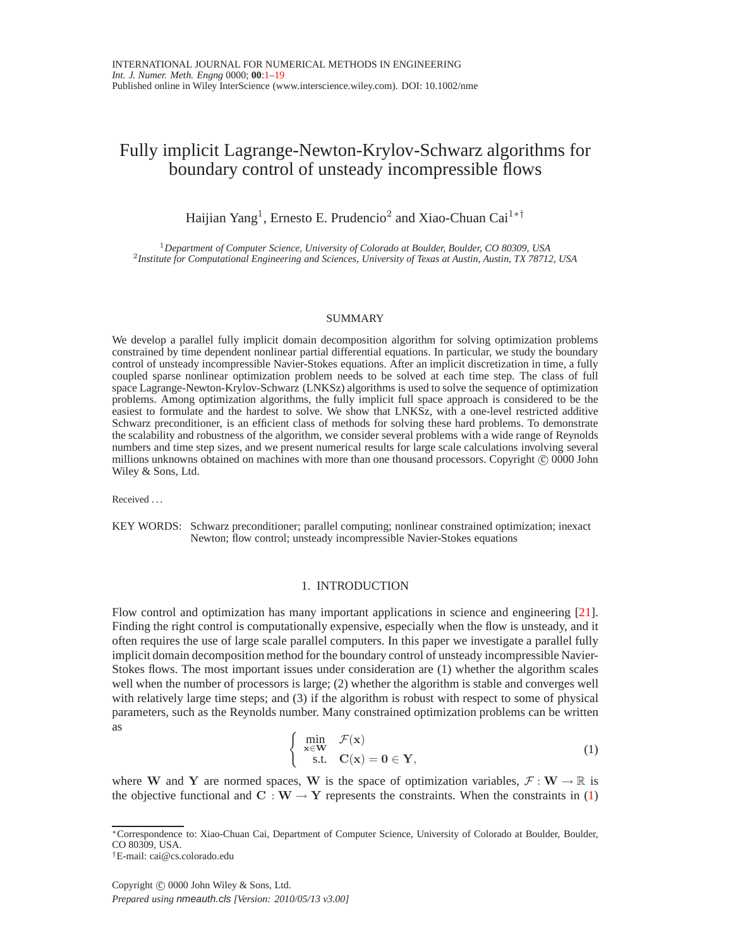# Fully implicit Lagrange-Newton-Krylov-Schwarz algorithms for boundary control of unsteady incompressible flows

Haijian Yang<sup>1</sup>, Ernesto E. Prudencio<sup>2</sup> and Xiao-Chuan Cai<sup>1\*†</sup>

<sup>1</sup>*Department of Computer Science, University of Colorado at Boulder, Boulder, CO 80309, USA* 2 *Institute for Computational Engineering and Sciences, University of Texas at Austin, Austin, TX 78712, USA*

#### SUMMARY

We develop a parallel fully implicit domain decomposition algorithm for solving optimization problems constrained by time dependent nonlinear partial differential equations. In particular, we study the boundary control of unsteady incompressible Navier-Stokes equations. After an implicit discretization in time, a fully coupled sparse nonlinear optimization problem needs to be solved at each time step. The class of full space Lagrange-Newton-Krylov-Schwarz (LNKSz) algorithms is used to solve the sequence of optimization problems. Among optimization algorithms, the fully implicit full space approach is considered to be the easiest to formulate and the hardest to solve. We show that LNKSz, with a one-level restricted additive Schwarz preconditioner, is an efficient class of methods for solving these hard problems. To demonstrate the scalability and robustness of the algorithm, we consider several problems with a wide range of Reynolds numbers and time step sizes, and we present numerical results for large scale calculations involving several millions unknowns obtained on machines with more than one thousand processors. Copyright  $\odot$  0000 John Wiley & Sons, Ltd.

Received . . .

KEY WORDS: Schwarz preconditioner; parallel computing; nonlinear constrained optimization; inexact Newton; flow control; unsteady incompressible Navier-Stokes equations

### 1. INTRODUCTION

Flow control and optimization has many important applications in science and engineering [\[21\]](#page-18-0). Finding the right control is computationally expensive, especially when the flow is unsteady, and it often requires the use of large scale parallel computers. In this paper we investigate a parallel fully implicit domain decomposition method for the boundary control of unsteady incompressible Navier-Stokes flows. The most important issues under consideration are (1) whether the algorithm scales well when the number of processors is large; (2) whether the algorithm is stable and converges well with relatively large time steps; and (3) if the algorithm is robust with respect to some of physical parameters, such as the Reynolds number. Many constrained optimization problems can be written as

<span id="page-0-0"></span>
$$
\begin{cases}\n\min_{\mathbf{x} \in \mathbf{W}} & \mathcal{F}(\mathbf{x}) \\
\text{s.t.} & \mathbf{C}(\mathbf{x}) = \mathbf{0} \in \mathbf{Y},\n\end{cases}
$$
\n(1)

where W and Y are normed spaces, W is the space of optimization variables,  $\mathcal{F}: W \to \mathbb{R}$  is the objective functional and  $C : W \to Y$  represents the constraints. When the constraints in [\(1\)](#page-0-0)

<sup>∗</sup>Correspondence to: Xiao-Chuan Cai, Department of Computer Science, University of Colorado at Boulder, Boulder, CO 80309, USA.

<sup>†</sup>E-mail: cai@cs.colorado.edu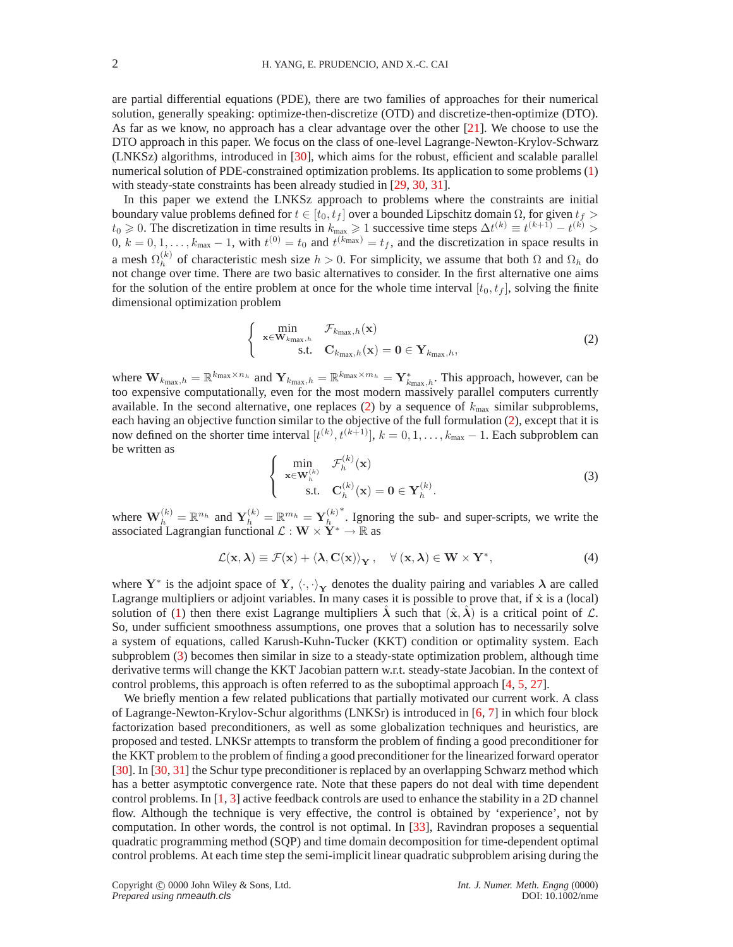are partial differential equations (PDE), there are two families of approaches for their numerical solution, generally speaking: optimize-then-discretize (OTD) and discretize-then-optimize (DTO). As far as we know, no approach has a clear advantage over the other  $[21]$ . We choose to use the DTO approach in this paper. We focus on the class of one-level Lagrange-Newton-Krylov-Schwarz (LNKSz) algorithms, introduced in [\[30\]](#page-18-1), which aims for the robust, efficient and scalable parallel numerical solution of PDE-constrained optimization problems. Its application to some problems [\(1\)](#page-0-0) with steady-state constraints has been already studied in [\[29,](#page-18-2) [30,](#page-18-1) [31\]](#page-18-3).

In this paper we extend the LNKSz approach to problems where the constraints are initial boundary value problems defined for  $t \in [t_0, t_f]$  over a bounded Lipschitz domain  $\Omega$ , for given  $t_f$  >  $t_0 \geq 0$ . The discretization in time results in  $k_{\text{max}} \geq 1$  successive time steps  $\Delta t^{(k)} \equiv t^{(k+1)} - t^{(k)} > 1$  $0, k = 0, 1, \ldots, k_{\text{max}} - 1$ , with  $t^{(0)} = t_0$  and  $t^{(k_{\text{max}})} = t_f$ , and the discretization in space results in a mesh  $\Omega_h^{(k)}$  $h_h^{(k)}$  of characteristic mesh size  $h > 0$ . For simplicity, we assume that both  $\Omega$  and  $\Omega_h$  do not change over time. There are two basic alternatives to consider. In the first alternative one aims for the solution of the entire problem at once for the whole time interval  $[t_0, t_f]$ , solving the finite dimensional optimization problem

$$
\begin{cases}\n\min_{\mathbf{x} \in \mathbf{W}_{k_{\max},h}} \mathcal{F}_{k_{\max},h}(\mathbf{x}) \\
\text{s.t.} \quad \mathbf{C}_{k_{\max},h}(\mathbf{x}) = \mathbf{0} \in \mathbf{Y}_{k_{\max},h},\n\end{cases}
$$
\n(2)

<span id="page-1-0"></span>where  $\mathbf{W}_{k_{\text{max}},h} = \mathbb{R}^{k_{\text{max}} \times n_h}$  and  $\mathbf{Y}_{k_{\text{max}},h} = \mathbb{R}^{k_{\text{max}} \times m_h} = \mathbf{Y}_{k_{\text{max}},h}^*$ . This approach, however, can be too expensive computationally, even for the most modern massively parallel computers currently available. In the second alternative, one replaces [\(2\)](#page-1-0) by a sequence of  $k_{\text{max}}$  similar subproblems, each having an objective function similar to the objective of the full formulation [\(2\)](#page-1-0), except that it is now defined on the shorter time interval  $[t^{(k)}, t^{(k+1)}], k = 0, 1, \ldots, k_{\text{max}} - 1$ . Each subproblem can be written as

$$
\begin{cases}\n\min_{\mathbf{x} \in \mathbf{W}_h^{(k)}} & \mathcal{F}_h^{(k)}(\mathbf{x}) \\
\text{s.t.} & \mathbf{C}_h^{(k)}(\mathbf{x}) = \mathbf{0} \in \mathbf{Y}_h^{(k)}.\n\end{cases}
$$
\n(3)

<span id="page-1-1"></span>where  $\mathbf{W}_h^{(k)} = \mathbb{R}^{n_h}$  and  $\mathbf{Y}_h^{(k)} = \mathbb{R}^{m_h} = \mathbf{Y}_h^{(k)}$ h ∗ . Ignoring the sub- and super-scripts, we write the associated Lagrangian functional  $\mathcal{L}: \mathbf{W} \times \overset{\sim}{\mathbf{Y}}^* \to \mathbb{R}$  as

$$
\mathcal{L}(\mathbf{x}, \lambda) \equiv \mathcal{F}(\mathbf{x}) + \langle \lambda, \mathbf{C}(\mathbf{x}) \rangle_{\mathbf{Y}}, \quad \forall (\mathbf{x}, \lambda) \in \mathbf{W} \times \mathbf{Y}^*, \tag{4}
$$

where Y<sup>∗</sup> is the adjoint space of Y,  $\langle \cdot, \cdot \rangle_Y$  denotes the duality pairing and variables  $\lambda$  are called Lagrange multipliers or adjoint variables. In many cases it is possible to prove that, if  $\hat{x}$  is a (local) solution of [\(1\)](#page-0-0) then there exist Lagrange multipliers  $\lambda$  such that  $(\hat{x}, \lambda)$  is a critical point of  $\mathcal{L}$ . So, under sufficient smoothness assumptions, one proves that a solution has to necessarily solve a system of equations, called Karush-Kuhn-Tucker (KKT) condition or optimality system. Each subproblem [\(3\)](#page-1-1) becomes then similar in size to a steady-state optimization problem, although time derivative terms will change the KKT Jacobian pattern w.r.t. steady-state Jacobian. In the context of control problems, this approach is often referred to as the suboptimal approach [\[4,](#page-18-4) [5,](#page-18-5) [27\]](#page-18-6).

We briefly mention a few related publications that partially motivated our current work. A class of Lagrange-Newton-Krylov-Schur algorithms (LNKSr) is introduced in [\[6,](#page-18-7) [7\]](#page-18-8) in which four block factorization based preconditioners, as well as some globalization techniques and heuristics, are proposed and tested. LNKSr attempts to transform the problem of finding a good preconditioner for the KKT problem to the problem of finding a good preconditioner for the linearized forward operator [\[30\]](#page-18-1). In [\[30,](#page-18-1) [31\]](#page-18-3) the Schur type preconditioner is replaced by an overlapping Schwarz method which has a better asymptotic convergence rate. Note that these papers do not deal with time dependent control problems. In [\[1,](#page-17-1) [3\]](#page-18-9) active feedback controls are used to enhance the stability in a 2D channel flow. Although the technique is very effective, the control is obtained by 'experience', not by computation. In other words, the control is not optimal. In [\[33\]](#page-18-10), Ravindran proposes a sequential quadratic programming method (SQP) and time domain decomposition for time-dependent optimal control problems. At each time step the semi-implicit linear quadratic subproblem arising during the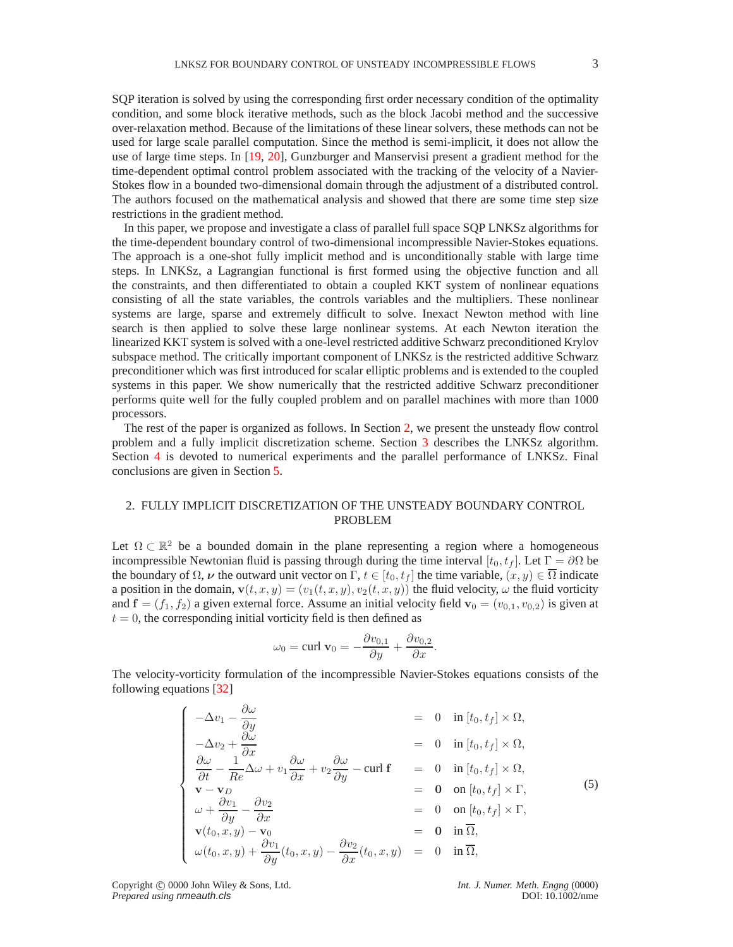SQP iteration is solved by using the corresponding first order necessary condition of the optimality condition, and some block iterative methods, such as the block Jacobi method and the successive over-relaxation method. Because of the limitations of these linear solvers, these methods can not be used for large scale parallel computation. Since the method is semi-implicit, it does not allow the use of large time steps. In [\[19,](#page-18-11) [20\]](#page-18-12), Gunzburger and Manservisi present a gradient method for the time-dependent optimal control problem associated with the tracking of the velocity of a Navier-Stokes flow in a bounded two-dimensional domain through the adjustment of a distributed control. The authors focused on the mathematical analysis and showed that there are some time step size restrictions in the gradient method.

In this paper, we propose and investigate a class of parallel full space SQP LNKSz algorithms for the time-dependent boundary control of two-dimensional incompressible Navier-Stokes equations. The approach is a one-shot fully implicit method and is unconditionally stable with large time steps. In LNKSz, a Lagrangian functional is first formed using the objective function and all the constraints, and then differentiated to obtain a coupled KKT system of nonlinear equations consisting of all the state variables, the controls variables and the multipliers. These nonlinear systems are large, sparse and extremely difficult to solve. Inexact Newton method with line search is then applied to solve these large nonlinear systems. At each Newton iteration the linearized KKT system is solved with a one-level restricted additive Schwarz preconditioned Krylov subspace method. The critically important component of LNKSz is the restricted additive Schwarz preconditioner which was first introduced for scalar elliptic problems and is extended to the coupled systems in this paper. We show numerically that the restricted additive Schwarz preconditioner performs quite well for the fully coupled problem and on parallel machines with more than 1000 processors.

The rest of the paper is organized as follows. In Section [2,](#page-2-0) we present the unsteady flow control problem and a fully implicit discretization scheme. Section [3](#page-5-0) describes the LNKSz algorithm. Section [4](#page-7-0) is devoted to numerical experiments and the parallel performance of LNKSz. Final conclusions are given in Section [5.](#page-17-0)

# <span id="page-2-0"></span>2. FULLY IMPLICIT DISCRETIZATION OF THE UNSTEADY BOUNDARY CONTROL PROBLEM

Let  $\Omega \subset \mathbb{R}^2$  be a bounded domain in the plane representing a region where a homogeneous incompressible Newtonian fluid is passing through during the time interval  $[t_0, t_f]$ . Let  $\Gamma = \partial \Omega$  be the boundary of  $\Omega$ ,  $\nu$  the outward unit vector on  $\Gamma$ ,  $t \in [t_0, t_f]$  the time variable,  $(x, y) \in \overline{\Omega}$  indicate a position in the domain,  $\mathbf{v}(t, x, y) = (v_1(t, x, y), v_2(t, x, y))$  the fluid velocity,  $\omega$  the fluid vorticity and  $f = (f_1, f_2)$  a given external force. Assume an initial velocity field  $\mathbf{v}_0 = (v_{0,1}, v_{0,2})$  is given at  $t = 0$ , the corresponding initial vorticity field is then defined as

$$
\omega_0 = \text{curl } \mathbf{v}_0 = -\frac{\partial v_{0,1}}{\partial y} + \frac{\partial v_{0,2}}{\partial x}.
$$

The velocity-vorticity formulation of the incompressible Navier-Stokes equations consists of the following equations [\[32\]](#page-18-13)

$$
\begin{cases}\n-\Delta v_1 - \frac{\partial \omega}{\partial y} & = 0 \quad \text{in } [t_0, t_f] \times \Omega, \\
-\Delta v_2 + \frac{\partial \omega}{\partial x} & = 0 \quad \text{in } [t_0, t_f] \times \Omega, \\
\frac{\partial \omega}{\partial t} - \frac{1}{Re} \Delta \omega + v_1 \frac{\partial \omega}{\partial x} + v_2 \frac{\partial \omega}{\partial y} - \text{curl } \mathbf{f} & = 0 \quad \text{in } [t_0, t_f] \times \Omega, \\
\mathbf{v} - \mathbf{v}_D & = \mathbf{0} \quad \text{on } [t_0, t_f] \times \Gamma, \\
\omega + \frac{\partial v_1}{\partial y} - \frac{\partial v_2}{\partial x} & = 0 \quad \text{on } [t_0, t_f] \times \Gamma, \\
\mathbf{v}(t_0, x, y) - \mathbf{v}_0 & = \mathbf{0} \quad \text{in } \overline{\Omega}, \\
\omega(t_0, x, y) + \frac{\partial v_1}{\partial y}(t_0, x, y) - \frac{\partial v_2}{\partial x}(t_0, x, y) & = 0 \quad \text{in } \overline{\Omega},\n\end{cases}
$$
\n(5)

Copyright © 0000 John Wiley & Sons, Ltd. *Int. J. Numer. Meth. Engng* (0000)<br>*Prepared using nmeauth.cls* DOI: 10.1002/nme **Prepared using nmeauth.cls**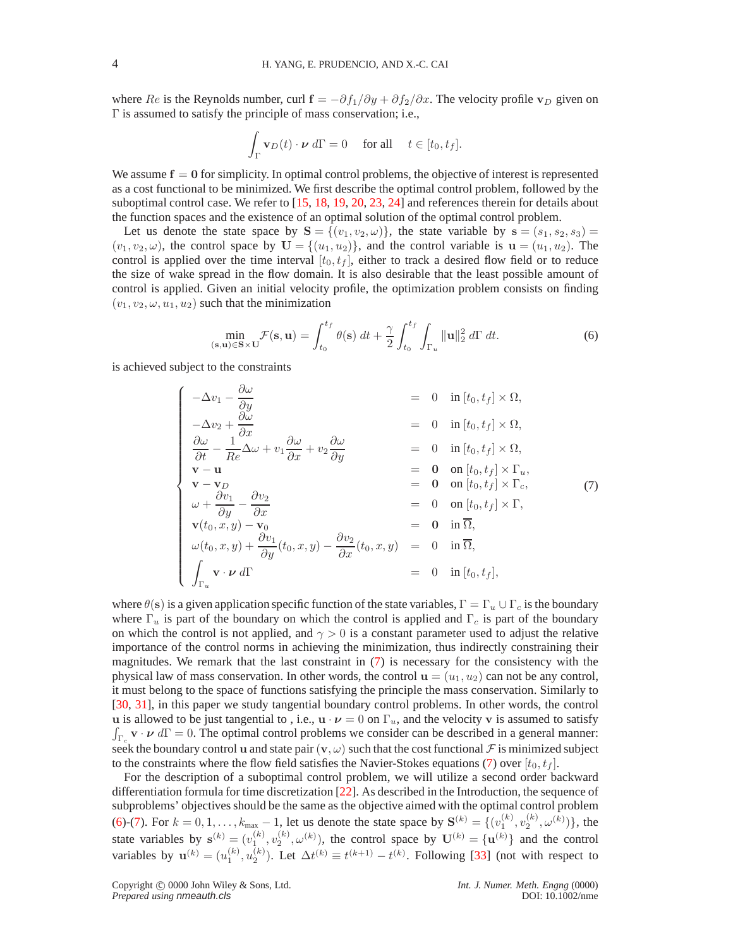where Re is the Reynolds number, curl  $\mathbf{f} = -\partial f_1/\partial y + \partial f_2/\partial x$ . The velocity profile  $\mathbf{v}_D$  given on Γ is assumed to satisfy the principle of mass conservation; i.e.,

$$
\int_{\Gamma} \mathbf{v}_D(t) \cdot \boldsymbol{\nu} \, d\Gamma = 0 \quad \text{ for all } \quad t \in [t_0, t_f].
$$

We assume  $f = 0$  for simplicity. In optimal control problems, the objective of interest is represented as a cost functional to be minimized. We first describe the optimal control problem, followed by the suboptimal control case. We refer to [\[15,](#page-18-14) [18,](#page-18-15) [19,](#page-18-11) [20,](#page-18-12) [23,](#page-18-16) [24\]](#page-18-17) and references therein for details about the function spaces and the existence of an optimal solution of the optimal control problem.

Let us denote the state space by  $S = \{(v_1, v_2, \omega)\}\$ , the state variable by  $s = (s_1, s_2, s_3)$  $(v_1, v_2, \omega)$ , the control space by  $\mathbf{U} = \{(u_1, u_2)\}\$ , and the control variable is  $\mathbf{u} = (u_1, u_2)$ . The control is applied over the time interval  $[t_0, t_f]$ , either to track a desired flow field or to reduce the size of wake spread in the flow domain. It is also desirable that the least possible amount of control is applied. Given an initial velocity profile, the optimization problem consists on finding  $(v_1, v_2, \omega, u_1, u_2)$  such that the minimization

$$
\min_{(\mathbf{s}, \mathbf{u}) \in \mathbf{S} \times \mathbf{U}} \mathcal{F}(\mathbf{s}, \mathbf{u}) = \int_{t_0}^{t_f} \theta(\mathbf{s}) dt + \frac{\gamma}{2} \int_{t_0}^{t_f} \int_{\Gamma_u} ||\mathbf{u}||_2^2 d\Gamma dt.
$$
 (6)

<span id="page-3-1"></span><span id="page-3-0"></span>is achieved subject to the constraints

$$
\begin{cases}\n-\Delta v_1 - \frac{\partial \omega}{\partial y} & = 0 \text{ in } [t_0, t_f] \times \Omega, \\
-\Delta v_2 + \frac{\partial \omega}{\partial x} & = 0 \text{ in } [t_0, t_f] \times \Omega, \\
\frac{\partial \omega}{\partial t} - \frac{1}{Re} \Delta \omega + v_1 \frac{\partial \omega}{\partial x} + v_2 \frac{\partial \omega}{\partial y} & = 0 \text{ in } [t_0, t_f] \times \Omega, \\
\mathbf{v} - \mathbf{u} & = \mathbf{0} \text{ on } [t_0, t_f] \times \Gamma_u, \\
\mathbf{v} - \mathbf{v}_D & = \mathbf{0} \text{ on } [t_0, t_f] \times \Gamma_u, \\
\omega + \frac{\partial v_1}{\partial y} - \frac{\partial v_2}{\partial x} & = 0 \text{ on } [t_0, t_f] \times \Gamma, \\
\mathbf{v}(t_0, x, y) - \mathbf{v}_0 & = \mathbf{0} \text{ in } \overline{\Omega}, \\
\omega(t_0, x, y) + \frac{\partial v_1}{\partial y}(t_0, x, y) - \frac{\partial v_2}{\partial x}(t_0, x, y) & = 0 \text{ in } \overline{\Omega}, \\
\int_{\Gamma_u} \mathbf{v} \cdot \mathbf{v} d\Gamma & = \mathbf{0} \text{ in } [t_0, t_f],\n\end{cases} (7)
$$

where  $\theta(s)$  is a given application specific function of the state variables,  $\Gamma = \Gamma_u \cup \Gamma_c$  is the boundary where  $\Gamma_u$  is part of the boundary on which the control is applied and  $\Gamma_c$  is part of the boundary on which the control is not applied, and  $\gamma > 0$  is a constant parameter used to adjust the relative importance of the control norms in achieving the minimization, thus indirectly constraining their magnitudes. We remark that the last constraint in [\(7\)](#page-3-0) is necessary for the consistency with the physical law of mass conservation. In other words, the control  $\mathbf{u} = (u_1, u_2)$  can not be any control, it must belong to the space of functions satisfying the principle the mass conservation. Similarly to [\[30,](#page-18-1) [31\]](#page-18-3), in this paper we study tangential boundary control problems. In other words, the control u is allowed to be just tangential to, i.e.,  $\mathbf{u} \cdot \boldsymbol{\nu} = 0$  on  $\Gamma_u$ , and the velocity v is assumed to satisfy  $\int_{\Gamma_c}$  v ·  $\nu$  d $\Gamma = 0$ . The optimal control problems we consider can be described in a general manner: seek the boundary control u and state pair  $(v, \omega)$  such that the cost functional  $\mathcal F$  is minimized subject to the constraints where the flow field satisfies the Navier-Stokes equations [\(7\)](#page-3-0) over  $[t_0, t_f]$ .

For the description of a suboptimal control problem, we will utilize a second order backward differentiation formula for time discretization [\[22\]](#page-18-18). As described in the Introduction, the sequence of subproblems' objectives should be the same as the objective aimed with the optimal control problem [\(6\)](#page-3-1)-[\(7\)](#page-3-0). For  $k = 0, 1, ..., k_{\text{max}} - 1$ , let us denote the state space by  $S^{(k)} = \{(v_1^{(k)}, v_2^{(k)}, \omega^{(k)})\}$ , the state variables by  $\mathbf{s}^{(k)} = (v_1^{(k)}, v_2^{(k)}, \omega^{(k)})$ , the control space by  $\mathbf{U}^{(k)} = {\mathbf{u}^{(k)}}$  and the control variables by  $\mathbf{u}^{(k)} = (u_1^{(k)}, u_2^{(k)})$ . Let  $\Delta t^{(k)} \equiv t^{(k+1)} - t^{(k)}$ . Following [\[33\]](#page-18-10) (not with respect to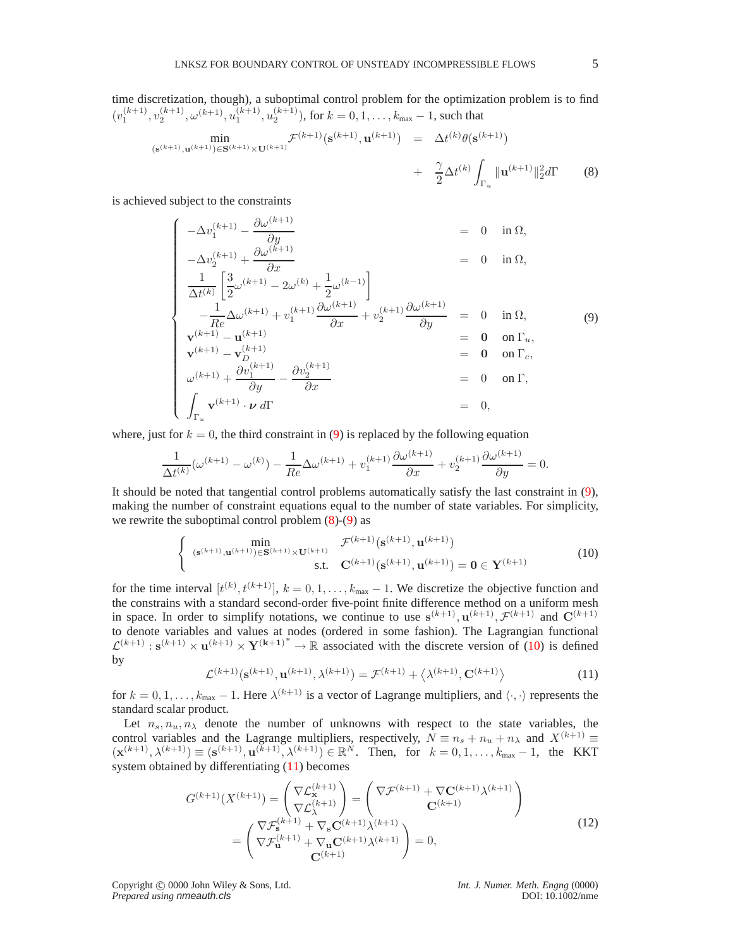<span id="page-4-1"></span>time discretization, though), a suboptimal control problem for the optimization problem is to find  $(v_1^{(k+1)}, v_2^{(k+1)}, \omega^{(k+1)}, u_1^{(k+1)}, u_2^{(k+1)})$ , for  $k = 0, 1, ..., k_{\text{max}} - 1$ , such that

$$
\min_{(\mathbf{s}^{(k+1)}, \mathbf{u}^{(k+1)}) \in \mathbf{S}^{(k+1)} \times \mathbf{U}^{(k+1)}} \mathcal{F}^{(k+1)}(\mathbf{s}^{(k+1)}, \mathbf{u}^{(k+1)}) = \Delta t^{(k)} \theta(\mathbf{s}^{(k+1)}) + \frac{\gamma}{2} \Delta t^{(k)} \int_{\Gamma_u} ||\mathbf{u}^{(k+1)}||_2^2 d\Gamma
$$
 (8)

<span id="page-4-0"></span>is achieved subject to the constraints

$$
\begin{cases}\n-\Delta v_{1}^{(k+1)} - \frac{\partial \omega^{(k+1)}}{\partial y} & = 0 \text{ in } \Omega, \\
-\Delta v_{2}^{(k+1)} + \frac{\partial \omega^{(k+1)}}{\partial x} & = 0 \text{ in } \Omega, \\
\frac{1}{\Delta t^{(k)}} \left[ \frac{3}{2} \omega^{(k+1)} - 2\omega^{(k)} + \frac{1}{2} \omega^{(k-1)} \right] & = 0 \text{ in } \Omega, \\
-\frac{1}{Re} \Delta \omega^{(k+1)} + v_{1}^{(k+1)} \frac{\partial \omega^{(k+1)}}{\partial x} + v_{2}^{(k+1)} \frac{\partial \omega^{(k+1)}}{\partial y} & = 0 \text{ in } \Omega, \\
\mathbf{v}_{k+1}^{(k+1)} - \mathbf{u}_{D}^{(k+1)} & = \mathbf{0} \text{ on } \Gamma_{u}, \\
\mathbf{v}_{k+1}^{(k+1)} - \mathbf{v}_{D}^{(k+1)} & = \mathbf{0} \text{ on } \Gamma_{c}, \\
\omega^{(k+1)} + \frac{\partial v_{1}^{(k+1)}}{\partial y} - \frac{\partial v_{2}^{(k+1)}}{\partial x} & = 0 \text{ on } \Gamma, \\
\int_{\Gamma_{u}} \mathbf{v}^{(k+1)} \cdot \mathbf{v} d\Gamma & = 0,\n\end{cases}
$$
\n(9)

where, just for  $k = 0$ , the third constraint in [\(9\)](#page-4-0) is replaced by the following equation

$$
\frac{1}{\Delta t^{(k)}}(\omega^{(k+1)} - \omega^{(k)}) - \frac{1}{Re}\Delta\omega^{(k+1)} + v_1^{(k+1)}\frac{\partial\omega^{(k+1)}}{\partial x} + v_2^{(k+1)}\frac{\partial\omega^{(k+1)}}{\partial y} = 0.
$$

It should be noted that tangential control problems automatically satisfy the last constraint in [\(9\)](#page-4-0), making the number of constraint equations equal to the number of state variables. For simplicity, we rewrite the suboptimal control problem  $(8)-(9)$  $(8)-(9)$  as

$$
\begin{cases}\n\min_{(\mathbf{s}^{(k+1)}, \mathbf{u}^{(k+1)}) \in \mathbf{S}^{(k+1)} \times \mathbf{U}^{(k+1)}} \mathcal{F}^{(k+1)}(\mathbf{s}^{(k+1)}, \mathbf{u}^{(k+1)}) \\
\text{s.t.} \quad \mathbf{C}^{(k+1)}(\mathbf{s}^{(k+1)}, \mathbf{u}^{(k+1)}) = \mathbf{0} \in \mathbf{Y}^{(k+1)}\n\end{cases} (10)
$$

<span id="page-4-2"></span>for the time interval  $[t^{(k)}, t^{(k+1)}], k = 0, 1, \ldots, k_{\text{max}} - 1$ . We discretize the objective function and the constrains with a standard second-order five-point finite difference method on a uniform mesh in space. In order to simplify notations, we continue to use  $s^{(k+1)}$ ,  $u^{(k+1)}$ ,  $\mathcal{F}^{(k+1)}$  and  $C^{(k+1)}$ to denote variables and values at nodes (ordered in some fashion). The Lagrangian functional  $\mathcal{L}^{(k+1)}$ :  $\mathbf{s}^{(k+1)} \times \mathbf{u}^{(k+1)} \times \mathbf{Y}^{(k+1)^*} \to \mathbb{R}$  associated with the discrete version of [\(10\)](#page-4-2) is defined by

$$
\mathcal{L}^{(k+1)}(\mathbf{s}^{(k+1)}, \mathbf{u}^{(k+1)}, \lambda^{(k+1)}) = \mathcal{F}^{(k+1)} + \langle \lambda^{(k+1)}, \mathbf{C}^{(k+1)} \rangle \tag{11}
$$

<span id="page-4-3"></span>for  $k = 0, 1, \ldots, k_{\text{max}} - 1$ . Here  $\lambda^{(k+1)}$  is a vector of Lagrange multipliers, and  $\langle \cdot, \cdot \rangle$  represents the standard scalar product.

Let  $n_s, n_u, n_\lambda$  denote the number of unknowns with respect to the state variables, the control variables and the Lagrange multipliers, respectively,  $N \equiv n_s + n_u + n_\lambda$  and  $X^{(k+1)} \equiv$  $(\mathbf{x}^{(k+1)}, \lambda^{(k+1)}) \equiv (\mathbf{s}^{(k+1)}, \mathbf{u}^{(k+1)}, \lambda^{(k+1)}) \in \mathbb{R}^N$ . Then, for  $k = 0, 1, ..., k_{\text{max}} - 1$ , the KKT system obtained by differentiating [\(11\)](#page-4-3) becomes

$$
G^{(k+1)}(X^{(k+1)}) = \begin{pmatrix} \nabla \mathcal{L}_X^{(k+1)} \\ \nabla \mathcal{L}_X^{(k+1)} \end{pmatrix} = \begin{pmatrix} \nabla \mathcal{F}^{(k+1)} + \nabla \mathbf{C}^{(k+1)} \lambda^{(k+1)} \\ \nabla \mathcal{L}_X^{(k+1)} \end{pmatrix}
$$
  
= 
$$
\begin{pmatrix} \nabla \mathcal{F}_S^{(k+1)} + \nabla_S \mathbf{C}^{(k+1)} \lambda^{(k+1)} \\ \nabla \mathcal{F}_\mathbf{u}^{(k+1)} + \nabla_\mathbf{u} \mathbf{C}^{(k+1)} \lambda^{(k+1)} \end{pmatrix} = 0,
$$
 (12)

<span id="page-4-4"></span>Copyright © 0000 John Wiley & Sons, Ltd. *Int. J. Numer. Meth. Engng* (0000)<br>*Prepared using nmeauth.cls* DOI: 10.1002/nme *Prepared using nmeauth.cls*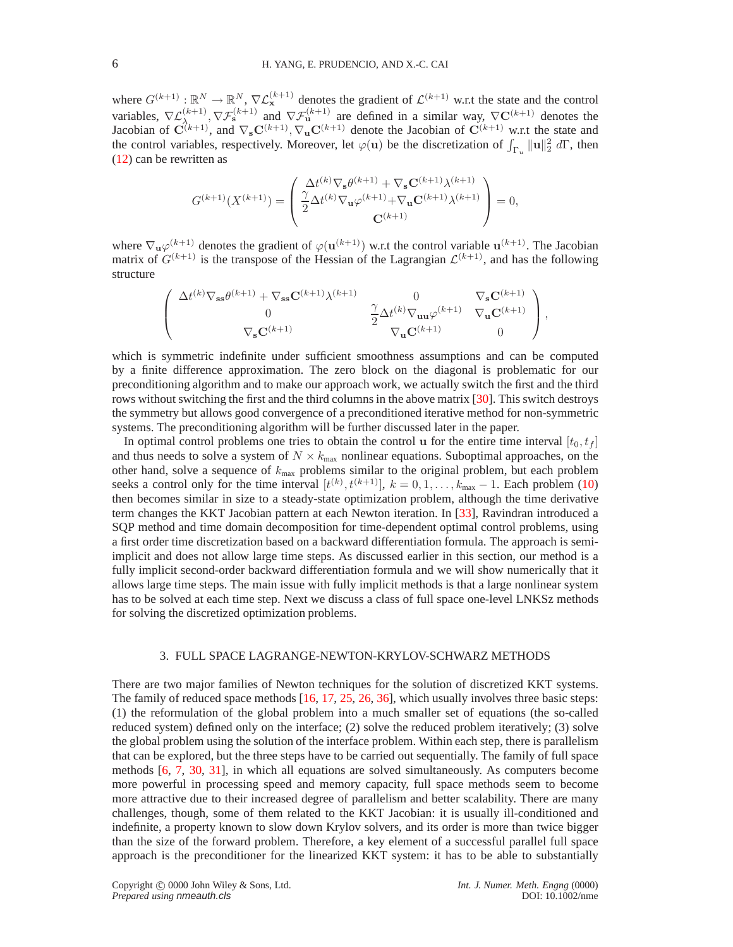where  $G^{(k+1)} : \mathbb{R}^N \to \mathbb{R}^N$ ,  $\nabla \mathcal{L}_{\mathbf{x}}^{(k+1)}$  denotes the gradient of  $\mathcal{L}^{(k+1)}$  w.r.t the state and the control variables,  $\nabla \mathcal{L}_{\lambda_{k+1},k}^{(k+1)}, \nabla \mathcal{F}_{s}^{(k+1)}$  and  $\nabla \mathcal{F}_{u}^{(k+1)}$  are defined in a similar way,  $\nabla \mathbf{C}^{(k+1)}$  denotes the Jacobian of  $\mathbf{C}^{(k+1)}$ , and  $\nabla_{\mathbf{s}} \mathbf{C}^{(k+1)}$ ,  $\nabla_{\mathbf{u}} \mathbf{C}^{(k+1)}$  denote the Jacobian of  $\mathbf{C}^{(k+1)}$  w.r.t the state and the control variables, respectively. Moreover, let  $\varphi(\mathbf{u})$  be the discretization of  $\int_{\Gamma_u} ||\mathbf{u}||_2^2 d\Gamma$ , then [\(12\)](#page-4-4) can be rewritten as

$$
G^{(k+1)}(X^{(k+1)}) = \begin{pmatrix} \Delta t^{(k)} \nabla_{\mathbf{s}} \theta^{(k+1)} + \nabla_{\mathbf{s}} \mathbf{C}^{(k+1)} \lambda^{(k+1)} \\ \frac{\gamma}{2} \Delta t^{(k)} \nabla_{\mathbf{u}} \varphi^{(k+1)} + \nabla_{\mathbf{u}} \mathbf{C}^{(k+1)} \lambda^{(k+1)} \\ \mathbf{C}^{(k+1)} \end{pmatrix} = 0,
$$

where  $\nabla_{\mathbf{u}}\varphi^{(k+1)}$  denotes the gradient of  $\varphi(\mathbf{u}^{(k+1)})$  w.r.t the control variable  $\mathbf{u}^{(k+1)}$ . The Jacobian matrix of  $G^{(k+1)}$  is the transpose of the Hessian of the Lagrangian  $\mathcal{L}^{(k+1)}$ , and has the following structure

$$
\left(\begin{array}{ccc} \Delta t^{(k)}\nabla_{\mathbf{s}\mathbf{s}}\theta^{(k+1)}+\nabla_{\mathbf{s}\mathbf{s}}\mathbf{C}^{(k+1)}\lambda^{(k+1)}&0&\nabla_{\mathbf{s}}\mathbf{C}^{(k+1)}\\0&\frac{\gamma}{2}\Delta t^{(k)}\nabla_{\mathbf{u}\mathbf{u}}\varphi^{(k+1)}&\nabla_{\mathbf{u}}\mathbf{C}^{(k+1)}\\ \nabla_{\mathbf{s}}\mathbf{C}^{(k+1)}&\nabla_{\mathbf{u}}\mathbf{C}^{(k+1)}&0\end{array}\right),
$$

which is symmetric indefinite under sufficient smoothness assumptions and can be computed by a finite difference approximation. The zero block on the diagonal is problematic for our preconditioning algorithm and to make our approach work, we actually switch the first and the third rows without switching the first and the third columns in the above matrix [\[30\]](#page-18-1). This switch destroys the symmetry but allows good convergence of a preconditioned iterative method for non-symmetric systems. The preconditioning algorithm will be further discussed later in the paper.

In optimal control problems one tries to obtain the control u for the entire time interval  $[t_0, t_f]$ and thus needs to solve a system of  $N \times k_{\text{max}}$  nonlinear equations. Suboptimal approaches, on the other hand, solve a sequence of  $k_{\text{max}}$  problems similar to the original problem, but each problem seeks a control only for the time interval  $[t^{(k)}, t^{(k+1)}], k = 0, 1, \ldots, k_{\text{max}} - 1$ . Each problem [\(10\)](#page-4-2) then becomes similar in size to a steady-state optimization problem, although the time derivative term changes the KKT Jacobian pattern at each Newton iteration. In [\[33\]](#page-18-10), Ravindran introduced a SQP method and time domain decomposition for time-dependent optimal control problems, using a first order time discretization based on a backward differentiation formula. The approach is semiimplicit and does not allow large time steps. As discussed earlier in this section, our method is a fully implicit second-order backward differentiation formula and we will show numerically that it allows large time steps. The main issue with fully implicit methods is that a large nonlinear system has to be solved at each time step. Next we discuss a class of full space one-level LNKSz methods for solving the discretized optimization problems.

#### 3. FULL SPACE LAGRANGE-NEWTON-KRYLOV-SCHWARZ METHODS

<span id="page-5-0"></span>There are two major families of Newton techniques for the solution of discretized KKT systems. The family of reduced space methods  $[16, 17, 25, 26, 36]$  $[16, 17, 25, 26, 36]$  $[16, 17, 25, 26, 36]$  $[16, 17, 25, 26, 36]$  $[16, 17, 25, 26, 36]$  $[16, 17, 25, 26, 36]$  $[16, 17, 25, 26, 36]$  $[16, 17, 25, 26, 36]$ , which usually involves three basic steps: (1) the reformulation of the global problem into a much smaller set of equations (the so-called reduced system) defined only on the interface; (2) solve the reduced problem iteratively; (3) solve the global problem using the solution of the interface problem. Within each step, there is parallelism that can be explored, but the three steps have to be carried out sequentially. The family of full space methods [\[6,](#page-18-7) [7,](#page-18-8) [30,](#page-18-1) [31\]](#page-18-3), in which all equations are solved simultaneously. As computers become more powerful in processing speed and memory capacity, full space methods seem to become more attractive due to their increased degree of parallelism and better scalability. There are many challenges, though, some of them related to the KKT Jacobian: it is usually ill-conditioned and indefinite, a property known to slow down Krylov solvers, and its order is more than twice bigger than the size of the forward problem. Therefore, a key element of a successful parallel full space approach is the preconditioner for the linearized KKT system: it has to be able to substantially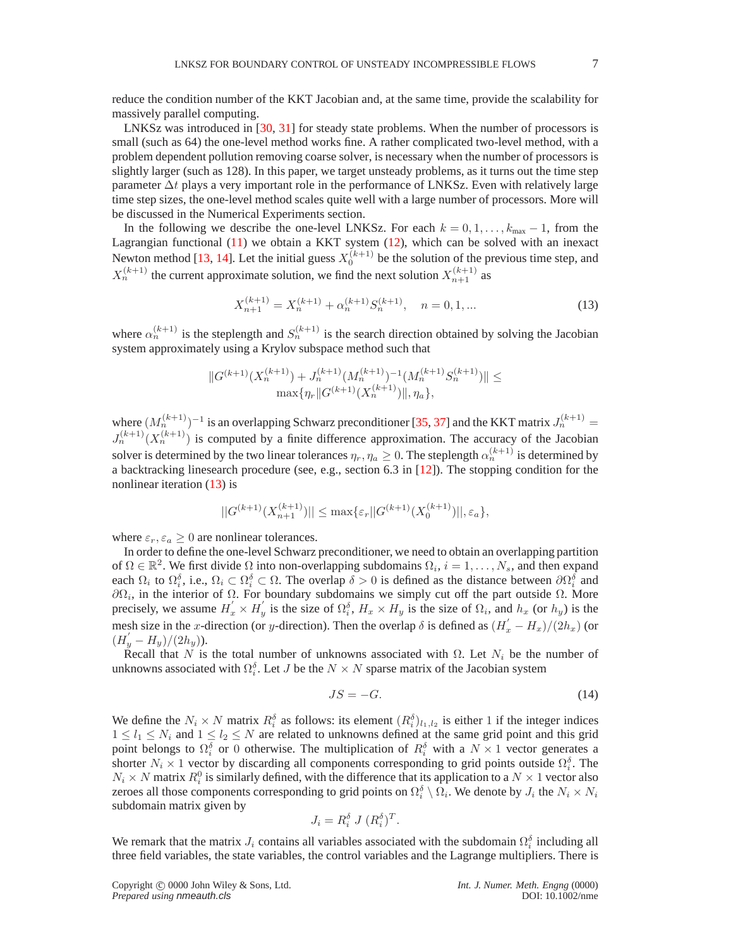reduce the condition number of the KKT Jacobian and, at the same time, provide the scalability for massively parallel computing.

LNKSz was introduced in [\[30,](#page-18-1) [31\]](#page-18-3) for steady state problems. When the number of processors is small (such as 64) the one-level method works fine. A rather complicated two-level method, with a problem dependent pollution removing coarse solver, is necessary when the number of processors is slightly larger (such as 128). In this paper, we target unsteady problems, as it turns out the time step parameter  $\Delta t$  plays a very important role in the performance of LNKSz. Even with relatively large time step sizes, the one-level method scales quite well with a large number of processors. More will be discussed in the Numerical Experiments section.

In the following we describe the one-level LNKSz. For each  $k = 0, 1, \ldots, k_{\text{max}} - 1$ , from the Lagrangian functional [\(11\)](#page-4-3) we obtain a KKT system [\(12\)](#page-4-4), which can be solved with an inexact Newton method [\[13,](#page-18-24) [14\]](#page-18-25). Let the initial guess  $X_0^{(k+1)}$  be the solution of the previous time step, and  $X_n^{(k+1)}$  the current approximate solution, we find the next solution  $X_{n+1}^{(k+1)}$  as

$$
X_{n+1}^{(k+1)} = X_n^{(k+1)} + \alpha_n^{(k+1)} S_n^{(k+1)}, \quad n = 0, 1, ... \tag{13}
$$

<span id="page-6-0"></span>where  $\alpha_n^{(k+1)}$  is the steplength and  $S_n^{(k+1)}$  is the search direction obtained by solving the Jacobian system approximately using a Krylov subspace method such that

$$
||G^{(k+1)}(X_n^{(k+1)})+J_n^{(k+1)}(M_n^{(k+1)})^{-1}(M_n^{(k+1)}S_n^{(k+1)})|| \le \max\{\eta_r ||G^{(k+1)}(X_n^{(k+1)})||, \eta_a\},
$$

where  $(M_n^{(k+1)})^{-1}$  is an overlapping Schwarz preconditioner [\[35,](#page-18-26) [37\]](#page-18-27) and the KKT matrix  $J_n^{(k+1)}$  =  $J_n^{(k+1)}(X_n^{(k+1)})$  is computed by a finite difference approximation. The accuracy of the Jacobian solver is determined by the two linear tolerances  $\eta_r, \eta_a \geq 0$ . The steplength  $\alpha_n^{(k+1)}$  is determined by a backtracking linesearch procedure (see, e.g., section 6.3 in [\[12\]](#page-18-28)). The stopping condition for the nonlinear iteration [\(13\)](#page-6-0) is

$$
||G^{(k+1)}(X_{n+1}^{(k+1)})|| \le \max\{\varepsilon_r ||G^{(k+1)}(X_0^{(k+1)})||, \varepsilon_a\},\
$$

where  $\varepsilon_r, \varepsilon_a \geq 0$  are nonlinear tolerances.

In order to define the one-level Schwarz preconditioner, we need to obtain an overlapping partition of  $\Omega \in \mathbb{R}^2$ . We first divide  $\Omega$  into non-overlapping subdomains  $\Omega_i$ ,  $i = 1, \ldots, N_s$ , and then expand each  $\Omega_i$  to  $\Omega_i^{\delta}$ , i.e.,  $\Omega_i \subset \Omega_i^{\delta} \subset \Omega$ . The overlap  $\delta > 0$  is defined as the distance between  $\partial \Omega_i^{\delta}$  and  $\partial\Omega_i$ , in the interior of  $\Omega$ . For boundary subdomains we simply cut off the part outside  $\Omega$ . More precisely, we assume  $H'_x \times H'_y$ y is the size of  $\Omega_i^{\delta}$ ,  $H_x \times H_y$  is the size of  $\Omega_i$ , and  $h_x$  (or  $h_y$ ) is the mesh size in the x-direction (or y-direction). Then the overlap  $\delta$  is defined as  $(H'_x - H_x)/(2h_x)$  (or  $(H'_y - H_y)/(2h_y)).$ 

Recall that N is the total number of unknowns associated with  $\Omega$ . Let  $N_i$  be the number of unknowns associated with  $\Omega_i^{\delta}$ . Let *J* be the  $N \times N$  sparse matrix of the Jacobian system

$$
JS = -G.\tag{14}
$$

We define the  $N_i \times N$  matrix  $R_i^{\delta}$  as follows: its element  $(R_i^{\delta})_{l_1,l_2}$  is either 1 if the integer indices  $1 \leq l_1 \leq N_i$  and  $1 \leq l_2 \leq N$  are related to unknowns defined at the same grid point and this grid point belongs to  $\Omega_i^{\delta}$  or 0 otherwise. The multiplication of  $R_i^{\delta}$  with a  $N \times 1$  vector generates a shorter  $N_i \times 1$  vector by discarding all components corresponding to grid points outside  $\Omega_i^{\delta}$ . The  $N_i \times N$  matrix  $R_i^0$  is similarly defined, with the difference that its application to a  $N \times 1$  vector also zeroes all those components corresponding to grid points on  $\Omega_i^{\delta} \setminus \Omega_i$ . We denote by  $J_i$  the  $N_i \times N_i$ subdomain matrix given by

$$
J_i = R_i^{\delta} J (R_i^{\delta})^T.
$$

We remark that the matrix  $J_i$  contains all variables associated with the subdomain  $\Omega_i^{\delta}$  including all three field variables, the state variables, the control variables and the Lagrange multipliers. There is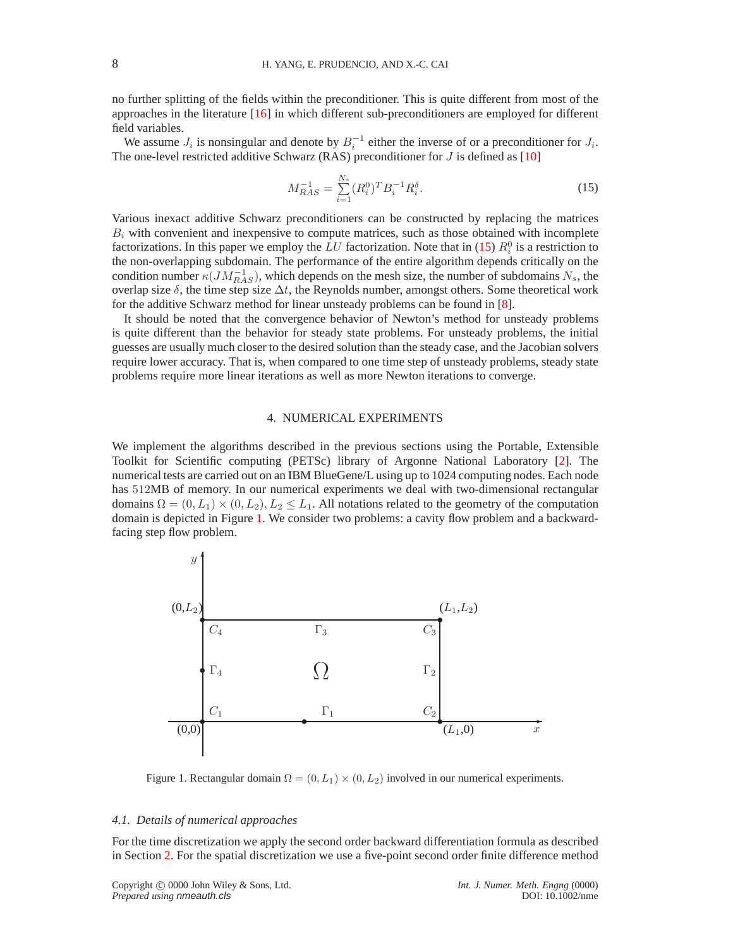no further splitting of the fields within the preconditioner. This is quite different from most of the approaches in the literature [\[16\]](#page-18-19) in which different sub-preconditioners are employed for different field variables.

We assume  $J_i$  is nonsingular and denote by  $B_i^{-1}$  either the inverse of or a preconditioner for  $J_i$ . The one-level restricted additive Schwarz (RAS) preconditioner for  $J$  is defined as [\[10\]](#page-18-29)

$$
M_{RAS}^{-1} = \sum_{i=1}^{N_s} (R_i^0)^T B_i^{-1} R_i^{\delta}.
$$
 (15)

<span id="page-7-1"></span>Various inexact additive Schwarz preconditioners can be constructed by replacing the matrices  $B_i$  with convenient and inexpensive to compute matrices, such as those obtained with incomplete factorizations. In this paper we employ the LU factorization. Note that in [\(15\)](#page-7-1)  $R_i^0$  is a restriction to the non-overlapping subdomain. The performance of the entire algorithm depends critically on the condition number  $\kappa(JM^{-1}_{RAS})$ , which depends on the mesh size, the number of subdomains  $N_s$ , the overlap size  $\delta$ , the time step size  $\Delta t$ , the Reynolds number, amongst others. Some theoretical work for the additive Schwarz method for linear unsteady problems can be found in [\[8\]](#page-18-30).

It should be noted that the convergence behavior of Newton's method for unsteady problems is quite different than the behavior for steady state problems. For unsteady problems, the initial guesses are usually much closer to the desired solution than the steady case, and the Jacobian solvers require lower accuracy. That is, when compared to one time step of unsteady problems, steady state problems require more linear iterations as well as more Newton iterations to converge.

#### 4. NUMERICAL EXPERIMENTS

<span id="page-7-0"></span>We implement the algorithms described in the previous sections using the Portable, Extensible Toolkit for Scientific computing (PETSc) library of Argonne National Laboratory [\[2\]](#page-17-2). The numerical tests are carried out on an IBM BlueGene/L using up to 1024 computing nodes. Each node has 512MB of memory. In our numerical experiments we deal with two-dimensional rectangular domains  $\Omega = (0, L_1) \times (0, L_2), L_2 \leq L_1$ . All notations related to the geometry of the computation domain is depicted in Figure [1.](#page-7-2) We consider two problems: a cavity flow problem and a backwardfacing step flow problem.



Figure 1. Rectangular domain  $\Omega = (0, L_1) \times (0, L_2)$  involved in our numerical experiments.

### <span id="page-7-2"></span>*4.1. Details of numerical approaches*

For the time discretization we apply the second order backward differentiation formula as described in Section [2.](#page-2-0) For the spatial discretization we use a five-point second order finite difference method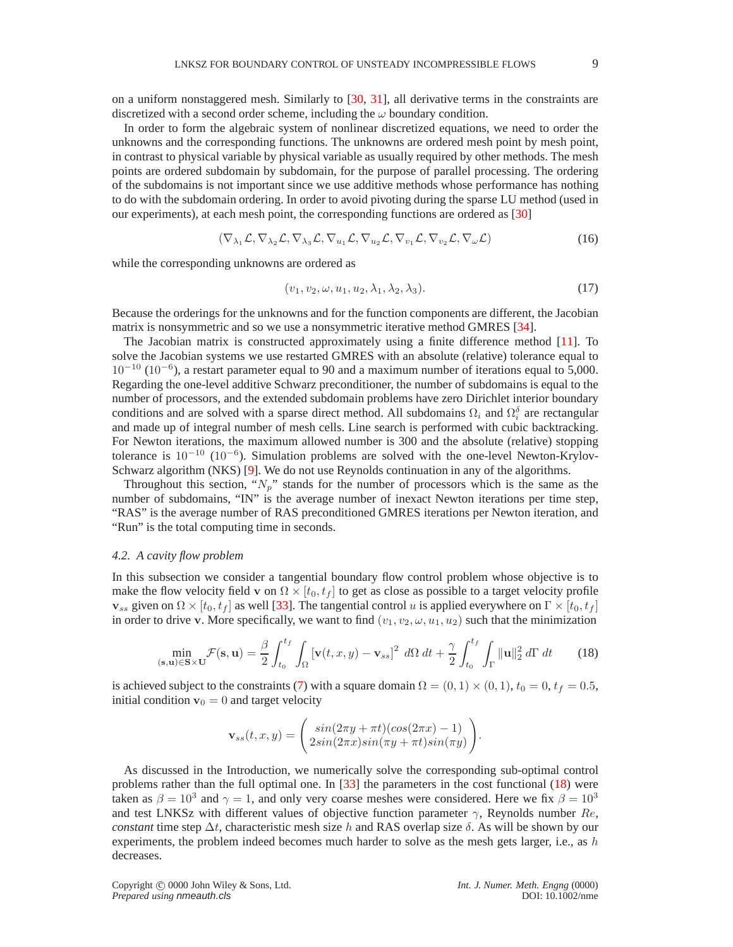on a uniform nonstaggered mesh. Similarly to [\[30,](#page-18-1) [31\]](#page-18-3), all derivative terms in the constraints are discretized with a second order scheme, including the  $\omega$  boundary condition.

In order to form the algebraic system of nonlinear discretized equations, we need to order the unknowns and the corresponding functions. The unknowns are ordered mesh point by mesh point, in contrast to physical variable by physical variable as usually required by other methods. The mesh points are ordered subdomain by subdomain, for the purpose of parallel processing. The ordering of the subdomains is not important since we use additive methods whose performance has nothing to do with the subdomain ordering. In order to avoid pivoting during the sparse LU method (used in our experiments), at each mesh point, the corresponding functions are ordered as [\[30\]](#page-18-1)

$$
(\nabla_{\lambda_1} \mathcal{L}, \nabla_{\lambda_2} \mathcal{L}, \nabla_{\lambda_3} \mathcal{L}, \nabla_{u_1} \mathcal{L}, \nabla_{u_2} \mathcal{L}, \nabla_{v_1} \mathcal{L}, \nabla_{v_2} \mathcal{L}, \nabla_{\omega} \mathcal{L})
$$
\n(16)

while the corresponding unknowns are ordered as

$$
(v_1, v_2, \omega, u_1, u_2, \lambda_1, \lambda_2, \lambda_3). \tag{17}
$$

Because the orderings for the unknowns and for the function components are different, the Jacobian matrix is nonsymmetric and so we use a nonsymmetric iterative method GMRES [\[34\]](#page-18-31).

The Jacobian matrix is constructed approximately using a finite difference method [\[11\]](#page-18-32). To solve the Jacobian systems we use restarted GMRES with an absolute (relative) tolerance equal to 10<sup>−</sup><sup>10</sup> (10<sup>−</sup><sup>6</sup> ), a restart parameter equal to 90 and a maximum number of iterations equal to 5,000. Regarding the one-level additive Schwarz preconditioner, the number of subdomains is equal to the number of processors, and the extended subdomain problems have zero Dirichlet interior boundary conditions and are solved with a sparse direct method. All subdomains  $\Omega_i$  and  $\Omega_i^{\delta}$  are rectangular and made up of integral number of mesh cells. Line search is performed with cubic backtracking. For Newton iterations, the maximum allowed number is 300 and the absolute (relative) stopping tolerance is 10<sup>−</sup><sup>10</sup> (10<sup>−</sup><sup>6</sup> ). Simulation problems are solved with the one-level Newton-Krylov-Schwarz algorithm (NKS) [\[9\]](#page-18-33). We do not use Reynolds continuation in any of the algorithms.

Throughout this section, " $N_p$ " stands for the number of processors which is the same as the number of subdomains, "IN" is the average number of inexact Newton iterations per time step, "RAS" is the average number of RAS preconditioned GMRES iterations per Newton iteration, and "Run" is the total computing time in seconds.

### *4.2. A cavity flow problem*

In this subsection we consider a tangential boundary flow control problem whose objective is to make the flow velocity field v on  $\Omega \times [t_0, t_f]$  to get as close as possible to a target velocity profile  $\mathbf{v}_{ss}$  given on  $\Omega \times [t_0, t_f]$  as well [\[33\]](#page-18-10). The tangential control u is applied everywhere on  $\Gamma \times [t_0, t_f]$ in order to drive v. More specifically, we want to find  $(v_1, v_2, \omega, u_1, u_2)$  such that the minimization

$$
\min_{(\mathbf{s}, \mathbf{u}) \in \mathbf{S} \times \mathbf{U}} \mathcal{F}(\mathbf{s}, \mathbf{u}) = \frac{\beta}{2} \int_{t_0}^{t_f} \int_{\Omega} \left[ \mathbf{v}(t, x, y) - \mathbf{v}_{ss} \right]^2 \ d\Omega \ dt + \frac{\gamma}{2} \int_{t_0}^{t_f} \int_{\Gamma} ||\mathbf{u}||_2^2 \ d\Gamma \ dt \qquad (18)
$$

<span id="page-8-0"></span>is achieved subject to the constraints [\(7\)](#page-3-0) with a square domain  $\Omega = (0, 1) \times (0, 1)$ ,  $t_0 = 0$ ,  $t_f = 0.5$ , initial condition  $v_0 = 0$  and target velocity

$$
\mathbf{v}_{ss}(t,x,y) = \begin{pmatrix} sin(2\pi y + \pi t)(cos(2\pi x) - 1) \\ 2sin(2\pi x)sin(\pi y + \pi t)sin(\pi y) \end{pmatrix}.
$$

As discussed in the Introduction, we numerically solve the corresponding sub-optimal control problems rather than the full optimal one. In [\[33\]](#page-18-10) the parameters in the cost functional [\(18\)](#page-8-0) were taken as  $\beta = 10^3$  and  $\gamma = 1$ , and only very coarse meshes were considered. Here we fix  $\beta = 10^3$ and test LNKSz with different values of objective function parameter  $\gamma$ , Reynolds number Re, *constant* time step  $\Delta t$ , characteristic mesh size h and RAS overlap size  $\delta$ . As will be shown by our experiments, the problem indeed becomes much harder to solve as the mesh gets larger, i.e., as  $h$ decreases.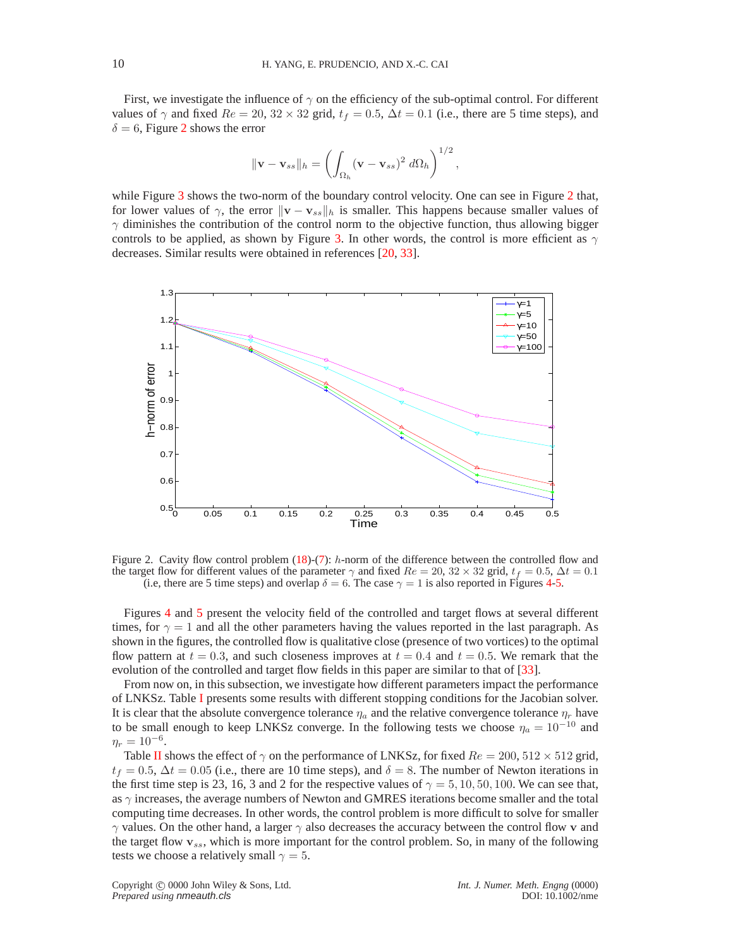First, we investigate the influence of  $\gamma$  on the efficiency of the sub-optimal control. For different values of  $\gamma$  and fixed  $Re = 20$ ,  $32 \times 32$  grid,  $t_f = 0.5$ ,  $\Delta t = 0.1$  (i.e., there are 5 time steps), and  $\delta = 6$ , Figure [2](#page-9-0) shows the error

$$
\|\mathbf{v} - \mathbf{v}_{ss}\|_{h} = \left(\int_{\Omega_h} (\mathbf{v} - \mathbf{v}_{ss})^2 \, d\Omega_h\right)^{1/2},
$$

while Figure [3](#page-10-0) shows the two-norm of the boundary control velocity. One can see in Figure [2](#page-9-0) that, for lower values of  $\gamma$ , the error  $\|\mathbf{v} - \mathbf{v}_{ss}\|_h$  is smaller. This happens because smaller values of  $\gamma$  diminishes the contribution of the control norm to the objective function, thus allowing bigger controls to be applied, as shown by Figure [3.](#page-10-0) In other words, the control is more efficient as  $\gamma$ decreases. Similar results were obtained in references [\[20,](#page-18-12) [33\]](#page-18-10).



<span id="page-9-0"></span>Figure 2. Cavity flow control problem  $(18)-(7)$  $(18)-(7)$ : h-norm of the difference between the controlled flow and the target flow for different values of the parameter  $\gamma$  and fixed  $Re = 20$ ,  $32 \times 32$  grid,  $t_f = 0.5$ ,  $\Delta t = 0.1$ (i.e, there are 5 time steps) and overlap  $\delta = 6$ . The case  $\gamma = 1$  is also reported in Figures [4](#page-19-0)[-5.](#page-20-0)

Figures [4](#page-19-0) and [5](#page-20-0) present the velocity field of the controlled and target flows at several different times, for  $\gamma = 1$  and all the other parameters having the values reported in the last paragraph. As shown in the figures, the controlled flow is qualitative close (presence of two vortices) to the optimal flow pattern at  $t = 0.3$ , and such closeness improves at  $t = 0.4$  and  $t = 0.5$ . We remark that the evolution of the controlled and target flow fields in this paper are similar to that of [\[33\]](#page-18-10).

From now on, in this subsection, we investigate how different parameters impact the performance of LNKSz. Table [I](#page-10-1) presents some results with different stopping conditions for the Jacobian solver. It is clear that the absolute convergence tolerance  $\eta_a$  and the relative convergence tolerance  $\eta_r$  have to be small enough to keep LNKSz converge. In the following tests we choose  $\eta_a = 10^{-10}$  and  $\eta_r = 10^{-6}$ .

Table [II](#page-10-2) shows the effect of  $\gamma$  on the performance of LNKSz, for fixed  $Re = 200, 512 \times 512$  grid,  $t_f = 0.5$ ,  $\Delta t = 0.05$  (i.e., there are 10 time steps), and  $\delta = 8$ . The number of Newton iterations in the first time step is 23, 16, 3 and 2 for the respective values of  $\gamma = 5, 10, 50, 100$ . We can see that, as  $\gamma$  increases, the average numbers of Newton and GMRES iterations become smaller and the total computing time decreases. In other words, the control problem is more difficult to solve for smaller  $\gamma$  values. On the other hand, a larger  $\gamma$  also decreases the accuracy between the control flow v and the target flow  $v_{ss}$ , which is more important for the control problem. So, in many of the following tests we choose a relatively small  $\gamma = 5$ .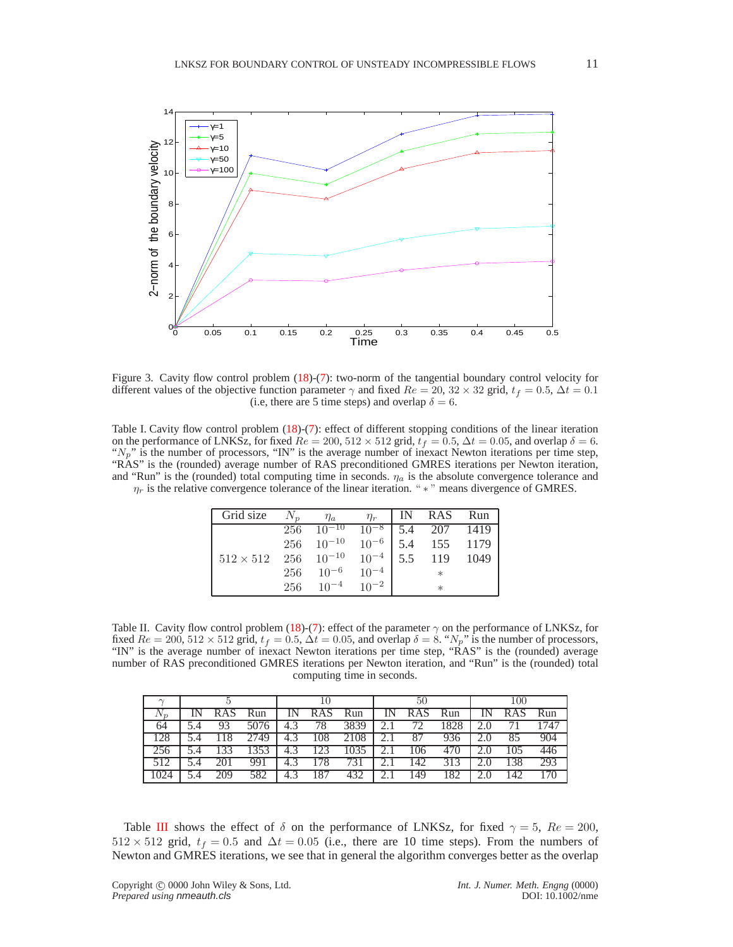

<span id="page-10-0"></span>Figure 3. Cavity flow control problem [\(18\)](#page-8-0)-[\(7\)](#page-3-0): two-norm of the tangential boundary control velocity for different values of the objective function parameter  $\gamma$  and fixed  $Re = 20$ ,  $32 \times 32$  grid,  $t_f = 0.5$ ,  $\Delta t = 0.1$ (i.e, there are 5 time steps) and overlap  $\delta = 6$ .

<span id="page-10-1"></span>Table I. Cavity flow control problem [\(18\)](#page-8-0)-[\(7\)](#page-3-0): effect of different stopping conditions of the linear iteration on the performance of LNKSz, for fixed  $Re = 200, 512 \times 512$  grid,  $t_f = 0.5, \Delta t = 0.05$ , and overlap  $\delta = 6$ . " $N_p$ " is the number of processors, "IN" is the average number of inexact Newton iterations per time step, "RAS" is the (rounded) average number of RAS preconditioned GMRES iterations per Newton iteration, and "Run" is the (rounded) total computing time in seconds.  $\eta_a$  is the absolute convergence tolerance and  $\eta_r$  is the relative convergence tolerance of the linear iteration. " $*$ " means divergence of GMRES.

| Grid size        | $N_p$ | $\eta_a$                                          | $\eta_r$  | IN RAS Run   |  |
|------------------|-------|---------------------------------------------------|-----------|--------------|--|
|                  |       | $256 \quad 10^{-10}$                              | $10^{-8}$ | 5.4 207 1419 |  |
|                  |       | $256 \quad 10^{-10} \quad 10^{-6}$   5.4 155 1179 |           |              |  |
| $512 \times 512$ |       | $256 \t10^{-10} \t10^{-4}$                        |           | 5.5 119 1049 |  |
|                  |       | $256 \t 10^{-6} \t 10^{-4}$                       |           | $\ast$       |  |
|                  |       | $256 \t 10^{-4} \t 10^{-2}$                       |           | $^{\ast}$    |  |

<span id="page-10-2"></span>Table II. Cavity flow control problem [\(18\)](#page-8-0)-[\(7\)](#page-3-0): effect of the parameter  $\gamma$  on the performance of LNKSz, for fixed  $Re = 200$ ,  $512 \times 512$  grid,  $t_f = 0.5$ ,  $\Delta t = 0.05$ , and overlap  $\delta = 8$ . " $N_p$ " is the number of processors, "IN" is the average number of inexact Newton iterations per time step, "RAS" is the (rounded) average number of RAS preconditioned GMRES iterations per Newton iteration, and "Run" is the (rounded) total computing time in seconds.

|                  |     |      | 10          |                  | 50               |          |            | 100  |  |                  |      |
|------------------|-----|------|-------------|------------------|------------------|----------|------------|------|--|------------------|------|
| $1 \mathsf{V} n$ |     | Run  |             | <b>RAS</b>       | Run              | IN       | <b>RAS</b> | Run  |  | <b>RAS</b>       | Run  |
| 64               |     | 5076 | 4.3         | 78               | 3839             |          | 72         | 1828 |  |                  | 1747 |
| 128              |     | 2749 | 4.3         | 108              | 2108             |          | 87         | 936  |  | 85               | 904  |
| 256              | 133 | 1353 | $4_{\cdot}$ | $12\overline{3}$ | 1035             | $\sim$ 1 | 106        |      |  | 105              |      |
|                  |     | 991  | 4.3         | 178              | $7\overline{3}1$ |          | 142        | 313  |  | $\overline{138}$ | 293  |
|                  | 209 | 582  | $4_{\cdot}$ | 187              |                  |          | 149        |      |  | 142              |      |

Table [III](#page-11-0) shows the effect of  $\delta$  on the performance of LNKSz, for fixed  $\gamma = 5$ ,  $Re = 200$ ,  $512 \times 512$  grid,  $t_f = 0.5$  and  $\Delta t = 0.05$  (i.e., there are 10 time steps). From the numbers of Newton and GMRES iterations, we see that in general the algorithm converges better as the overlap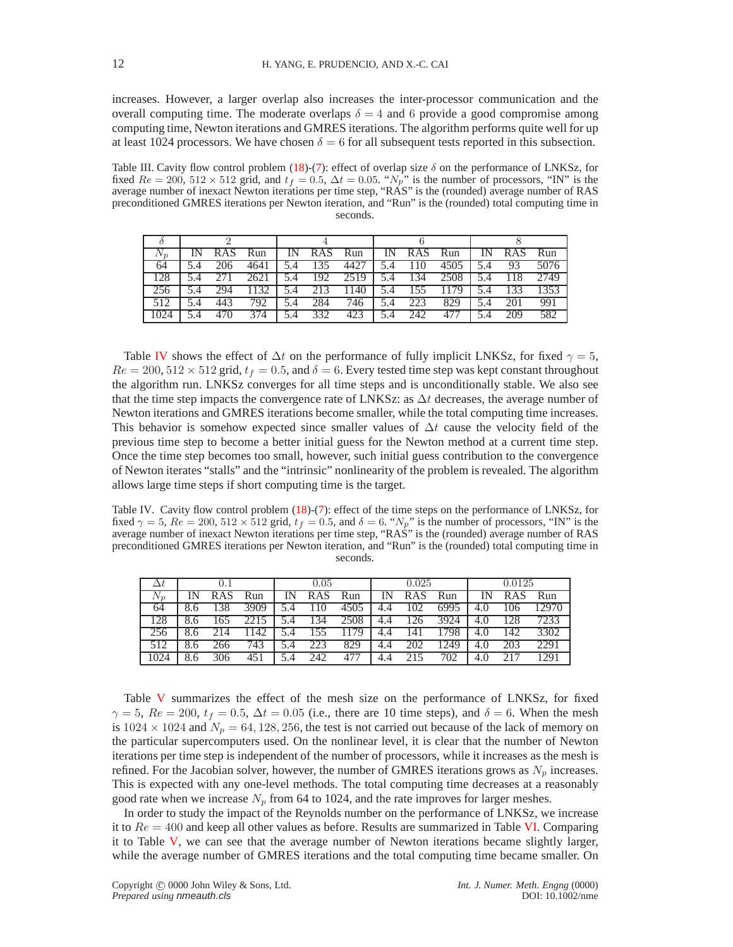increases. However, a larger overlap also increases the inter-processor communication and the overall computing time. The moderate overlaps  $\delta = 4$  and 6 provide a good compromise among computing time, Newton iterations and GMRES iterations. The algorithm performs quite well for up at least 1024 processors. We have chosen  $\delta = 6$  for all subsequent tests reported in this subsection.

<span id="page-11-0"></span>Table III. Cavity flow control problem [\(18\)](#page-8-0)-[\(7\)](#page-3-0): effect of overlap size  $\delta$  on the performance of LNKSz, for fixed  $Re = 200$ ,  $512 \times 512$  grid, and  $t_f = 0.5$ ,  $\Delta t = 0.05$ . " $N_p$ " is the number of processors, "IN" is the average number of inexact Newton iterations per time step, "RAS" is the (rounded) average number of RAS preconditioned GMRES iterations per Newton iteration, and "Run" is the (rounded) total computing time in seconds.

| $1 \mathsf{V} \mathsf{n}$ |     | Run  |     | IN RAS Run |      | IN. | RAS Run |      |     | RAS Run |      |
|---------------------------|-----|------|-----|------------|------|-----|---------|------|-----|---------|------|
| 64                        | 206 |      |     | 135        | 4427 | 5.4 | 110     | 4505 |     | 93      | 5076 |
| 128                       |     | 2621 |     | 5.4 192    | 2519 | 5.4 | 134     | 2508 | 5.4 | 118     | 2749 |
|                           |     | 1132 | 5.4 | 213        | 1140 | 5.4 | 155     | 1179 | 5.4 | 133     | 1353 |
|                           |     | 792  |     | 284        | 746  | 5.4 | 223     | 829  |     | 201     | 991  |
|                           | 470 | 374  | 5.4 | 332        | 423  | 5.4 | 242     |      |     | 209     | 582  |

Table [IV](#page-11-1) shows the effect of  $\Delta t$  on the performance of fully implicit LNKSz, for fixed  $\gamma = 5$ ,  $Re = 200, 512 \times 512$  grid,  $t_f = 0.5$ , and  $\delta = 6$ . Every tested time step was kept constant throughout the algorithm run. LNKSz converges for all time steps and is unconditionally stable. We also see that the time step impacts the convergence rate of LNKSz: as  $\Delta t$  decreases, the average number of Newton iterations and GMRES iterations become smaller, while the total computing time increases. This behavior is somehow expected since smaller values of  $\Delta t$  cause the velocity field of the previous time step to become a better initial guess for the Newton method at a current time step. Once the time step becomes too small, however, such initial guess contribution to the convergence of Newton iterates "stalls" and the "intrinsic" nonlinearity of the problem is revealed. The algorithm allows large time steps if short computing time is the target.

<span id="page-11-1"></span>Table IV. Cavity flow control problem [\(18\)](#page-8-0)-[\(7\)](#page-3-0): effect of the time steps on the performance of LNKSz, for fixed  $\gamma = 5$ ,  $Re = 200$ ,  $512 \times 512$  grid,  $t_f = 0.5$ , and  $\delta = 6$ . " $N_p$ " is the number of processors, "IN" is the average number of inexact Newton iterations per time step, "RAS" is the (rounded) average number of RAS preconditioned GMRES iterations per Newton iteration, and "Run" is the (rounded) total computing time in seconds.

|                |            |                   | 0.05 |     |       |     | 0.025      |       |     | 0.0125     |       |
|----------------|------------|-------------------|------|-----|-------|-----|------------|-------|-----|------------|-------|
| $\mathsf{V}_n$ | <b>RAS</b> | Run               |      | RAS | - Run | IN. | <b>RAS</b> | - Run |     | <b>RAS</b> | - Run |
| 64             |            | 3909              |      | 110 | 4505  | 4.4 | 102        | 6995  | 4.O | 06         | 12970 |
|                |            | 2215              |      | 134 | 2508  | 4.4 | 126        | 3924  | 4.0 | 128        | 7233  |
|                | 214        | $11\overline{42}$ |      | 155 | 1179  | 4.4 | 141        | 1798  | 4.0 | 142        | 3302  |
|                | 266        | 743               | 5.4  | 223 | 829   |     | 202        | 1249  | 4.0 | 203        | 2291  |
|                |            | 451               |      | 242 |       |     |            | 702   |     |            |       |

Table [V](#page-12-0) summarizes the effect of the mesh size on the performance of LNKSz, for fixed  $\gamma = 5$ ,  $Re = 200$ ,  $t_f = 0.5$ ,  $\Delta t = 0.05$  (i.e., there are 10 time steps), and  $\delta = 6$ . When the mesh is  $1024 \times 1024$  and  $N_p = 64, 128, 256$ , the test is not carried out because of the lack of memory on the particular supercomputers used. On the nonlinear level, it is clear that the number of Newton iterations per time step is independent of the number of processors, while it increases as the mesh is refined. For the Jacobian solver, however, the number of GMRES iterations grows as  $N_p$  increases. This is expected with any one-level methods. The total computing time decreases at a reasonably good rate when we increase  $N_p$  from 64 to 1024, and the rate improves for larger meshes.

In order to study the impact of the Reynolds number on the performance of LNKSz, we increase it to  $Re = 400$  and keep all other values as before. Results are summarized in Table [VI.](#page-12-1) Comparing it to Table  $V$ , we can see that the average number of Newton iterations became slightly larger, while the average number of GMRES iterations and the total computing time became smaller. On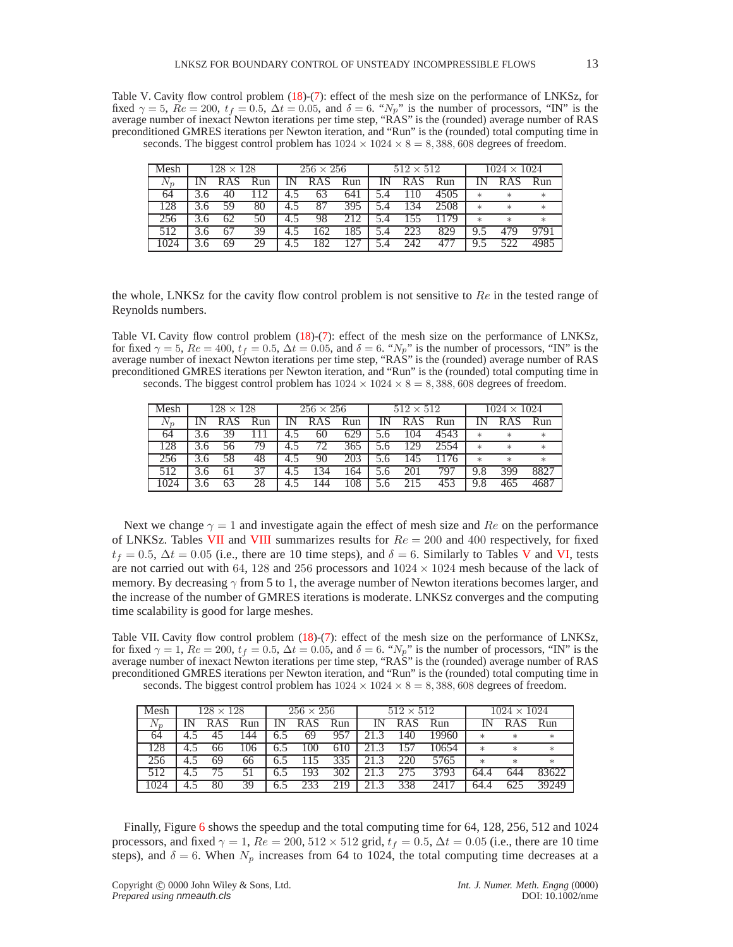<span id="page-12-0"></span>Table V. Cavity flow control problem [\(18\)](#page-8-0)-[\(7\)](#page-3-0): effect of the mesh size on the performance of LNKSz, for fixed  $\gamma = 5$ ,  $Re = 200$ ,  $t_f = 0.5$ ,  $\Delta t = 0.05$ , and  $\delta = 6$ . " $N_p$ " is the number of processors, "IN" is the average number of inexact Newton iterations per time step, "RAS" is the (rounded) average number of RAS preconditioned GMRES iterations per Newton iteration, and "Run" is the (rounded) total computing time in seconds. The biggest control problem has  $1024 \times 1024 \times 8 = 8,388,608$  degrees of freedom.

| Mesh    |   | $128 \times 128$ |     |     | $256 \times 256$ |     |     | $512 \times 512$ |      |        | $1024 \times 1024$ |        |
|---------|---|------------------|-----|-----|------------------|-----|-----|------------------|------|--------|--------------------|--------|
| $N_{n}$ |   |                  | Run |     | <b>RAS</b>       | Run |     | RAS              | Run  |        | RA.                | Run    |
| 64      |   |                  |     |     | 63               | 641 |     |                  | 4505 | $\ast$ | $\ast$             | $\ast$ |
| 128     |   |                  | 80  | 4.5 | 87               | 395 |     | 134              | 2508 | $\ast$ | $\ast$             | $*$    |
| 256     |   |                  | 50  | 4.5 | 98               |     | 5.4 |                  | 179  | $\ast$ | $\ast$             | $*$    |
| 512     |   |                  | 39  |     | 62               | 185 | 5.4 | 223              | 829  | 9.5    | 479                |        |
|         | ⌒ |                  | 29  |     | 82               |     |     | 242              |      | 9.5    | 522                |        |

the whole, LNKSz for the cavity flow control problem is not sensitive to  $Re$  in the tested range of Reynolds numbers.

<span id="page-12-1"></span>Table VI. Cavity flow control problem  $(18)-(7)$  $(18)-(7)$ : effect of the mesh size on the performance of LNKSz, for fixed  $\gamma = 5$ ,  $Re = 400$ ,  $t_f = 0.5$ ,  $\Delta t = 0.05$ , and  $\delta = 6$ . " $N_p$ " is the number of processors, "IN" is the average number of inexact Newton iterations per time step, "RAS" is the (rounded) average number of RAS preconditioned GMRES iterations per Newton iteration, and "Run" is the (rounded) total computing time in seconds. The biggest control problem has  $1024 \times 1024 \times 8 = 8,388,608$  degrees of freedom.

| Mesh    |     | $128 \times 128$ |     |                  | $256 \times 256$ |     | $512 \times 512$ |      |        | $1024 \times 1024$ |        |
|---------|-----|------------------|-----|------------------|------------------|-----|------------------|------|--------|--------------------|--------|
| $N_{n}$ |     |                  | Run |                  | <b>RAS</b>       | Run | RAS              | Run  |        | R                  | Run    |
| 64      |     | 39               |     | 4.5              | 60               | 629 | 104              | 4543 | $\ast$ | $\ast$             | $*$    |
| 128     |     | 56               | 79  | 4.5              | 72               | 365 | 129              | 2554 | $\ast$ | $\ast$             | $\ast$ |
| 256     | 3.6 | 58               | 48  | 4.5              | 90               | 203 | 145              | 176  | $\ast$ | $\ast$             | $\ast$ |
| 512     |     | 61               | 37  | 4.5              | 134              | -64 | 201              | 797  | 9.8    | 399                | 8827   |
|         |     | 63               | 28  | $4_{\cdot\cdot}$ | 44               | 08  |                  | 453  | 9.8    |                    | 4687   |

Next we change  $\gamma = 1$  and investigate again the effect of mesh size and Re on the performance of LNKSz. Tables [VII](#page-12-2) and [VIII](#page-13-0) summarizes results for  $Re = 200$  and 400 respectively, for fixed  $t_f = 0.5$ ,  $\Delta t = 0.05$  (i.e., there are 10 time steps), and  $\delta = 6$ . Similarly to Tables [V](#page-12-0) and [VI,](#page-12-1) tests are not carried out with 64, 128 and 256 processors and  $1024 \times 1024$  mesh because of the lack of memory. By decreasing  $\gamma$  from 5 to 1, the average number of Newton iterations becomes larger, and the increase of the number of GMRES iterations is moderate. LNKSz converges and the computing time scalability is good for large meshes.

<span id="page-12-2"></span>Table VII. Cavity flow control problem [\(18\)](#page-8-0)-[\(7\)](#page-3-0): effect of the mesh size on the performance of LNKSz, for fixed  $\gamma = 1$ ,  $Re = 200$ ,  $t_f = 0.5$ ,  $\Delta t = 0.05$ , and  $\delta = 6$ . " $N_p$ " is the number of processors, "IN" is the average number of inexact Newton iterations per time step, "RAS" is the (rounded) average number of RAS preconditioned GMRES iterations per Newton iteration, and "Run" is the (rounded) total computing time in seconds. The biggest control problem has  $1024 \times 1024 \times 8 = 8,388,608$  degrees of freedom.

| Mesh  |      | $128 \times 128$ |     |     | $256 \times 256$ |     |    | $512 \times 512$ |       |        | $1024 \times 1024$ |        |
|-------|------|------------------|-----|-----|------------------|-----|----|------------------|-------|--------|--------------------|--------|
| $N_n$ |      | <b>RAS</b>       | Run | IN  | <b>RAS</b>       | Run | ıN | <b>RAS</b>       | Run   |        | <b>RAS</b>         | Run    |
| 64    | 4.1  |                  | .44 | 6.5 | 69               |     |    | 140              | 19960 | $\ast$ | $\ast$             | $\ast$ |
| 128   | -4.5 | 66               | '06 | 6.5 | .00              | 610 |    | .57              | 10654 | $\ast$ | $\ast$             | $\ast$ |
| 256   | 4.5  | 69               | 66  | 6.5 | 15               | 335 |    | 220              | 5765  | $\ast$ | $\ast$             | $\ast$ |
| 512   |      |                  |     | 6.5 | 193              | 302 |    | 275              | 3793  | 64.4   | 644                | 83622  |
| .024  | 4.1  | 80               | 39  | 6.3 | 233              | 219 |    | 338              | 2411  | 64.    | 625                | 39249  |

Finally, Figure [6](#page-21-0) shows the speedup and the total computing time for 64, 128, 256, 512 and 1024 processors, and fixed  $\gamma = 1$ ,  $Re = 200$ ,  $512 \times 512$  grid,  $t_f = 0.5$ ,  $\Delta t = 0.05$  (i.e., there are 10 time steps), and  $\delta = 6$ . When  $N_p$  increases from 64 to 1024, the total computing time decreases at a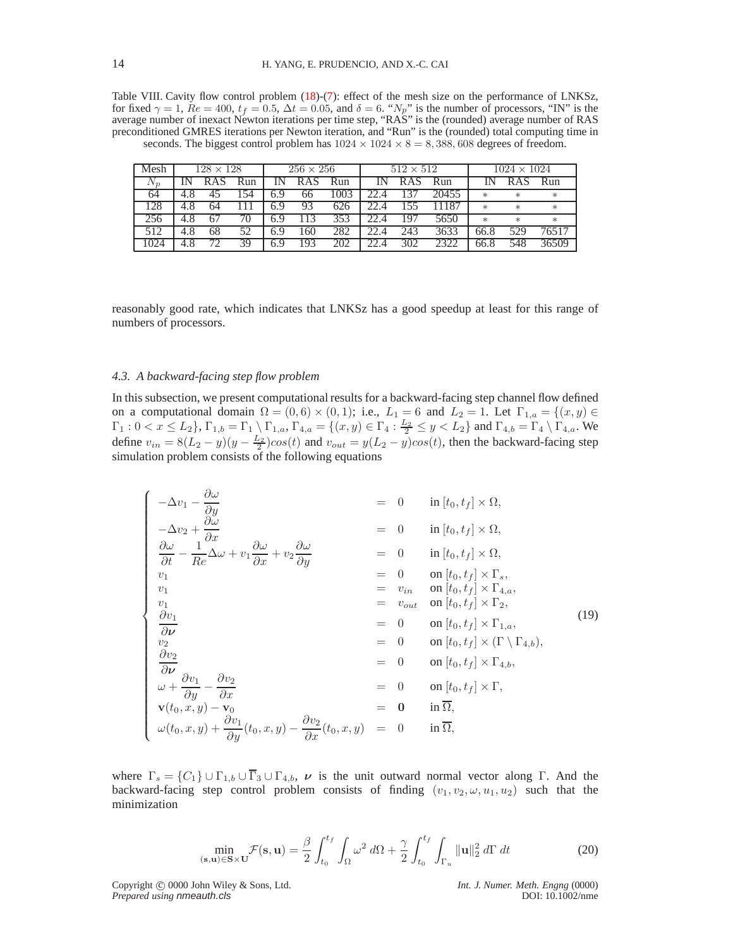<span id="page-13-0"></span>Table VIII. Cavity flow control problem [\(18\)](#page-8-0)-[\(7\)](#page-3-0): effect of the mesh size on the performance of LNKSz, for fixed  $\gamma = 1$ ,  $Re = 400$ ,  $t_f = 0.5$ ,  $\Delta t = 0.05$ , and  $\delta = 6$ . " $N_p$ " is the number of processors, "IN" is the average number of inexact Newton iterations per time step, "RAS" is the (rounded) average number of RAS preconditioned GMRES iterations per Newton iteration, and "Run" is the (rounded) total computing time in seconds. The biggest control problem has  $1024 \times 1024 \times 8 = 8,388,608$  degrees of freedom.

| Mesh  | $128 \times 128$ |     |     | $256 \times 256$ |     |      | $512 \times 512$ |       |        | $1024 \times 1024$ |        |
|-------|------------------|-----|-----|------------------|-----|------|------------------|-------|--------|--------------------|--------|
| $N_n$ | <b>RAS</b>       | Run |     | <b>RAS</b>       | Run | IN   | <b>RAS</b>       | Run   |        |                    | Run    |
| 64    |                  | -54 | 6.9 | 66               | 003 |      |                  | 20455 | $*$    | $\ast$             | $\ast$ |
| 128   | 64               |     | 6.9 | 93               | 626 |      |                  |       | $\ast$ | $\ast$             | $\ast$ |
| 256   |                  |     | 6.9 | 13               | 353 | 22.4 | 197              | 5650  | $\ast$ | $\ast$             | $\ast$ |
|       | 68               |     | 6.9 | .60              | 282 |      | 243              | 3633  | 66.8   | 529                | 76517  |
| 1024  | 72.              | 39  | 6.9 | 93               | 202 |      | 302              | 2322  | 66.8   | 548                | 36509  |

reasonably good rate, which indicates that LNKSz has a good speedup at least for this range of numbers of processors.

## *4.3. A backward-facing step flow problem*

In this subsection, we present computational results for a backward-facing step channel flow defined on a computational domain  $\Omega = (0,6) \times (0,1)$ ; i.e.,  $L_1 = 6$  and  $L_2 = 1$ . Let  $\Gamma_{1,a} = \{(x,y) \in$  $\Gamma_1: 0 < x \le L_2$ ,  $\Gamma_{1,b} = \Gamma_1 \setminus \Gamma_{1,a}$ ,  $\Gamma_{4,a} = \{(x, y) \in \Gamma_4 : \frac{L_2}{2} \le y < L_2\}$  and  $\Gamma_{4,b} = \Gamma_4 \setminus \Gamma_{4,a}$ . We define  $v_{in} = 8(L_2 - y)(y - \frac{L_2}{2})\cos(t)$  and  $v_{out} = y(L_2 - y)\cos(t)$ , then the backward-facing step simulation problem consists of the following equations

<span id="page-13-2"></span>
$$
\begin{cases}\n-\Delta v_1 - \frac{\partial \omega}{\partial y} & = 0 & \text{in } [t_0, t_f] \times \Omega, \\
-\Delta v_2 + \frac{\partial \omega}{\partial x} & = 0 & \text{in } [t_0, t_f] \times \Omega, \\
\frac{\partial \omega}{\partial t} - \frac{1}{Re} \Delta \omega + v_1 \frac{\partial \omega}{\partial x} + v_2 \frac{\partial \omega}{\partial y} & = 0 & \text{in } [t_0, t_f] \times \Omega, \\
v_1 & = 0 & \text{in } [t_0, t_f] \times \Gamma_s, \\
v_1 & = v_{in} & \text{on } [t_0, t_f] \times \Gamma_s, \\
v_1 & = v_{out} & \text{on } [t_0, t_f] \times \Gamma_{4,a}, \\
v_1 & = v_{out} & \text{on } [t_0, t_f] \times \Gamma_{1,a}, \\
\frac{\partial v_1}{\partial \nu} & = 0 & \text{on } [t_0, t_f] \times \Gamma_{1,a}, \\
v_2 & = 0 & \text{on } [t_0, t_f] \times (\Gamma \setminus \Gamma_{4,b}), \\
\frac{\partial v_2}{\partial \nu} & = 0 & \text{on } [t_0, t_f] \times (\Gamma \setminus \Gamma_{4,b}), \\
\omega + \frac{\partial v_1}{\partial y} - \frac{\partial v_2}{\partial x} & = 0 & \text{on } [t_0, t_f] \times \Gamma, \\
v(t_0, x, y) - \mathbf{v}_0 & = \mathbf{0} & \text{in } \overline{\Omega}, \\
\omega(t_0, x, y) + \frac{\partial v_1}{\partial y}(t_0, x, y) - \frac{\partial v_2}{\partial x}(t_0, x, y) & = 0 & \text{in } \overline{\Omega},\n\end{cases}
$$
\n(19)

where  $\Gamma_s = \{C_1\} \cup \Gamma_{1,b} \cup \overline{\Gamma}_3 \cup \Gamma_{4,b}$ ,  $\nu$  is the unit outward normal vector along Γ. And the backward-facing step control problem consists of finding  $(v_1, v_2, \omega, u_1, u_2)$  such that the minimization

$$
\min_{(\mathbf{s}, \mathbf{u}) \in \mathbf{S} \times \mathbf{U}} \mathcal{F}(\mathbf{s}, \mathbf{u}) = \frac{\beta}{2} \int_{t_0}^{t_f} \int_{\Omega} \omega^2 \, d\Omega + \frac{\gamma}{2} \int_{t_0}^{t_f} \int_{\Gamma_u} ||\mathbf{u}||_2^2 \, d\Gamma \, dt \tag{20}
$$

<span id="page-13-1"></span>Copyright © 0000 John Wiley & Sons, Ltd. *Int. J. Numer. Meth. Engng* (0000)<br>*Prepared using nmeauth.cls* DOI: 10.1002/nme **Prepared using nmeauth.cls**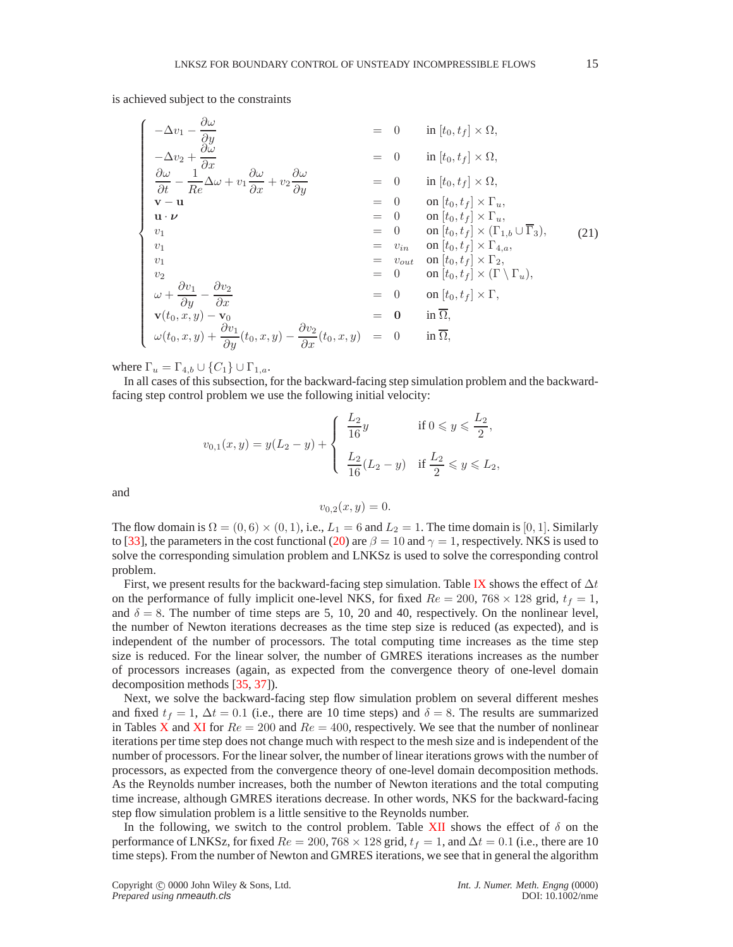is achieved subject to the constraints

<span id="page-14-0"></span>
$$
\begin{cases}\n-\Delta v_1 - \frac{\partial \omega}{\partial y} & = 0 & \text{in } [t_0, t_f] \times \Omega, \\
-\Delta v_2 + \frac{\partial \omega}{\partial x} & = 0 & \text{in } [t_0, t_f] \times \Omega, \\
\frac{\partial \omega}{\partial t} - \frac{1}{Re} \Delta \omega + v_1 \frac{\partial \omega}{\partial x} + v_2 \frac{\partial \omega}{\partial y} & = 0 & \text{in } [t_0, t_f] \times \Omega, \\
\mathbf{v} - \mathbf{u} & = 0 & \text{in } [t_0, t_f] \times \Gamma_u, \\
\mathbf{u} \cdot \boldsymbol{\nu} & = 0 & \text{on } [t_0, t_f] \times \Gamma_u, \\
v_1 & = 0 & \text{on } [t_0, t_f] \times \Gamma_u, \\
v_1 & = 0 & \text{on } [t_0, t_f] \times \Gamma_u, \\
v_1 & = v_{in} & \text{on } [t_0, t_f] \times (\Gamma_{1,b} \cup \overline{\Gamma_3}), \\
v_1 & = v_{in} & \text{on } [t_0, t_f] \times \Gamma_{4,a}, \\
v_1 & = v_{out} & \text{on } [t_0, t_f] \times \Gamma_{4,a}, \\
v_2 & = 0 & \text{on } [t_0, t_f] \times (\Gamma \setminus \Gamma_u), \\
\omega + \frac{\partial v_1}{\partial y} - \frac{\partial v_2}{\partial x} & = 0 & \text{on } [t_0, t_f] \times \Gamma, \\
\mathbf{v}(t_0, x, y) - \mathbf{v}_0 & = \mathbf{0} & \text{in } \overline{\Omega}, \\
\omega(t_0, x, y) + \frac{\partial v_1}{\partial y}(t_0, x, y) - \frac{\partial v_2}{\partial x}(t_0, x, y) & = 0 & \text{in } \overline{\Omega},\n\end{cases}
$$
\n(21)

where  $\Gamma_u = \Gamma_{4,b} \cup \{C_1\} \cup \Gamma_{1,a}$ .

In all cases of this subsection, for the backward-facing step simulation problem and the backwardfacing step control problem we use the following initial velocity:

$$
v_{0,1}(x,y) = y(L_2 - y) + \begin{cases} \frac{L_2}{16}y & \text{if } 0 \le y \le \frac{L_2}{2}, \\ \frac{L_2}{16}(L_2 - y) & \text{if } \frac{L_2}{2} \le y \le L_2, \end{cases}
$$

and

$$
v_{0,2}(x,y)=0.
$$

The flow domain is  $\Omega = (0,6) \times (0,1)$ , i.e.,  $L_1 = 6$  and  $L_2 = 1$ . The time domain is [0, 1]. Similarly to [\[33\]](#page-18-10), the parameters in the cost functional [\(20\)](#page-13-1) are  $\beta = 10$  and  $\gamma = 1$ , respectively. NKS is used to solve the corresponding simulation problem and LNKSz is used to solve the corresponding control problem.

First, we present results for the backward-facing step simulation. Table [IX](#page-15-0) shows the effect of  $\Delta t$ on the performance of fully implicit one-level NKS, for fixed  $Re = 200, 768 \times 128$  grid,  $t_f = 1$ , and  $\delta = 8$ . The number of time steps are 5, 10, 20 and 40, respectively. On the nonlinear level, the number of Newton iterations decreases as the time step size is reduced (as expected), and is independent of the number of processors. The total computing time increases as the time step size is reduced. For the linear solver, the number of GMRES iterations increases as the number of processors increases (again, as expected from the convergence theory of one-level domain decomposition methods [\[35,](#page-18-26) [37\]](#page-18-27)).

Next, we solve the backward-facing step flow simulation problem on several different meshes and fixed  $t_f = 1$ ,  $\Delta t = 0.1$  (i.e., there are 10 time steps) and  $\delta = 8$ . The results are summarized in Tables [X](#page-15-1) and [XI](#page-15-2) for  $Re = 200$  and  $Re = 400$ , respectively. We see that the number of nonlinear iterations per time step does not change much with respect to the mesh size and is independent of the number of processors. For the linear solver, the number of linear iterations grows with the number of processors, as expected from the convergence theory of one-level domain decomposition methods. As the Reynolds number increases, both the number of Newton iterations and the total computing time increase, although GMRES iterations decrease. In other words, NKS for the backward-facing step flow simulation problem is a little sensitive to the Reynolds number.

In the following, we switch to the control problem. Table [XII](#page-16-0) shows the effect of  $\delta$  on the performance of LNKSz, for fixed  $Re = 200, 768 \times 128$  grid,  $t_f = 1$ , and  $\Delta t = 0.1$  (i.e., there are 10 time steps). From the number of Newton and GMRES iterations, we see that in general the algorithm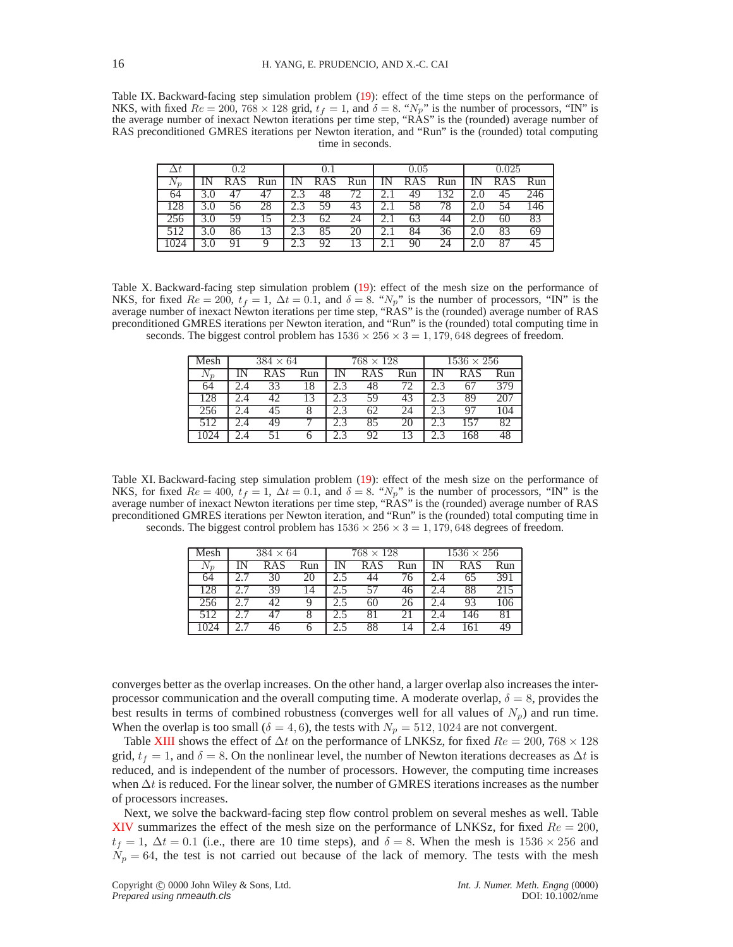<span id="page-15-0"></span>Table IX. Backward-facing step simulation problem [\(19\)](#page-13-2): effect of the time steps on the performance of NKS, with fixed  $Re = 200$ , 768 × 128 grid,  $t_f = 1$ , and  $\delta = 8$ . " $N_p$ " is the number of processors, "IN" is the average number of inexact Newton iterations per time step, "RAS" is the (rounded) average number of RAS preconditioned GMRES iterations per Newton iteration, and "Run" is the (rounded) total computing time in seconds.

|       | 0.2 |     | 0.1   |            |     |          | 0.05       |     |     | 0.025      |     |
|-------|-----|-----|-------|------------|-----|----------|------------|-----|-----|------------|-----|
| $v_n$ |     | Run |       | <b>RAS</b> | Run |          | <b>RAS</b> | Run |     | <b>RAS</b> | Run |
|       |     |     |       | 48         | 72  | ۷.       | 49         | 32  |     | 45         | 246 |
|       |     |     |       | 59         | 43  | ۷.۱      |            | 78  |     | 54         | .46 |
|       |     |     |       | 62         | 24  | 2. l     | 63         |     |     | 60         | 83  |
|       |     | 13  | ن و گ |            | 20  | 2. I     | 84         | 36  | 2.U | 83         | 69  |
|       |     |     |       | 92         | 13  | <u>.</u> |            | 24  |     | 87         | 45  |

<span id="page-15-1"></span>Table X. Backward-facing step simulation problem [\(19\)](#page-13-2): effect of the mesh size on the performance of NKS, for fixed  $Re = 200$ ,  $t_f = 1$ ,  $\Delta t = 0.1$ , and  $\delta = 8$ . " $N_p$ " is the number of processors, "IN" is the average number of inexact Newton iterations per time step, "RAS" is the (rounded) average number of RAS preconditioned GMRES iterations per Newton iteration, and "Run" is the (rounded) total computing time in seconds. The biggest control problem has  $1536 \times 256 \times 3 = 1,179,648$  degrees of freedom.

| Mesh    | $384 \times 64$ |                 |     | $768 \times 128$ |     |     | $1536 \times 256$ |     |
|---------|-----------------|-----------------|-----|------------------|-----|-----|-------------------|-----|
| $N_{n}$ | <b>RAS</b>      | Run             |     | <b>RAS</b>       | Run |     | <b>RAS</b>        | Run |
| 64      | 33              | $1\overline{8}$ |     |                  |     |     | 67                | 379 |
| 128     |                 |                 |     | 59               | 43  |     | 89                | 207 |
| 256     |                 | ð               |     | 62               | 24  | 2.3 |                   | 104 |
| 512     | 4 Q             |                 | 2.3 | 85               | 20  |     | 157               | 82  |
|         |                 |                 |     |                  |     |     | 168               |     |

<span id="page-15-2"></span>Table XI. Backward-facing step simulation problem [\(19\)](#page-13-2): effect of the mesh size on the performance of NKS, for fixed  $Re = 400$ ,  $t_f = 1$ ,  $\Delta t = 0.1$ , and  $\delta = 8$ . " $N_p$ " is the number of processors, "IN" is the average number of inexact Newton iterations per time step, "RAS" is the (rounded) average number of RAS preconditioned GMRES iterations per Newton iteration, and "Run" is the (rounded) total computing time in seconds. The biggest control problem has  $1536 \times 256 \times 3 = 1,179,648$  degrees of freedom.

| Mesh    | $384 \times 64$ |     | $768 \times 128$ |                 |     | $1536 \times 256$ |     |
|---------|-----------------|-----|------------------|-----------------|-----|-------------------|-----|
| $v_{n}$ | <b>RAS</b>      | Run | RAS              | Run             |     | RAS               | Run |
| 64      |                 | 20  |                  | $\overline{76}$ | 4.4 | 65                | 39  |
| 128     |                 |     |                  | 46              | 2.4 | 88                |     |
| 256     |                 |     | 60               | 26              |     | 93                |     |
| 512     |                 | ◠   |                  |                 |     | .46               | 81  |
|         |                 | h   | 88               |                 |     | 61                | 45  |

converges better as the overlap increases. On the other hand, a larger overlap also increases the interprocessor communication and the overall computing time. A moderate overlap,  $\delta = 8$ , provides the best results in terms of combined robustness (converges well for all values of  $N_p$ ) and run time. When the overlap is too small ( $\delta = 4, 6$ ), the tests with  $N_p = 512, 1024$  are not convergent.

Table [XIII](#page-16-1) shows the effect of  $\Delta t$  on the performance of LNKSz, for fixed  $Re = 200, 768 \times 128$ grid,  $t_f = 1$ , and  $\delta = 8$ . On the nonlinear level, the number of Newton iterations decreases as  $\Delta t$  is reduced, and is independent of the number of processors. However, the computing time increases when  $\Delta t$  is reduced. For the linear solver, the number of GMRES iterations increases as the number of processors increases.

Next, we solve the backward-facing step flow control problem on several meshes as well. Table [XIV](#page-16-2) summarizes the effect of the mesh size on the performance of LNKSz, for fixed  $Re = 200$ ,  $t_f = 1$ ,  $\Delta t = 0.1$  (i.e., there are 10 time steps), and  $\delta = 8$ . When the mesh is  $1536 \times 256$  and  $N_p = 64$ , the test is not carried out because of the lack of memory. The tests with the mesh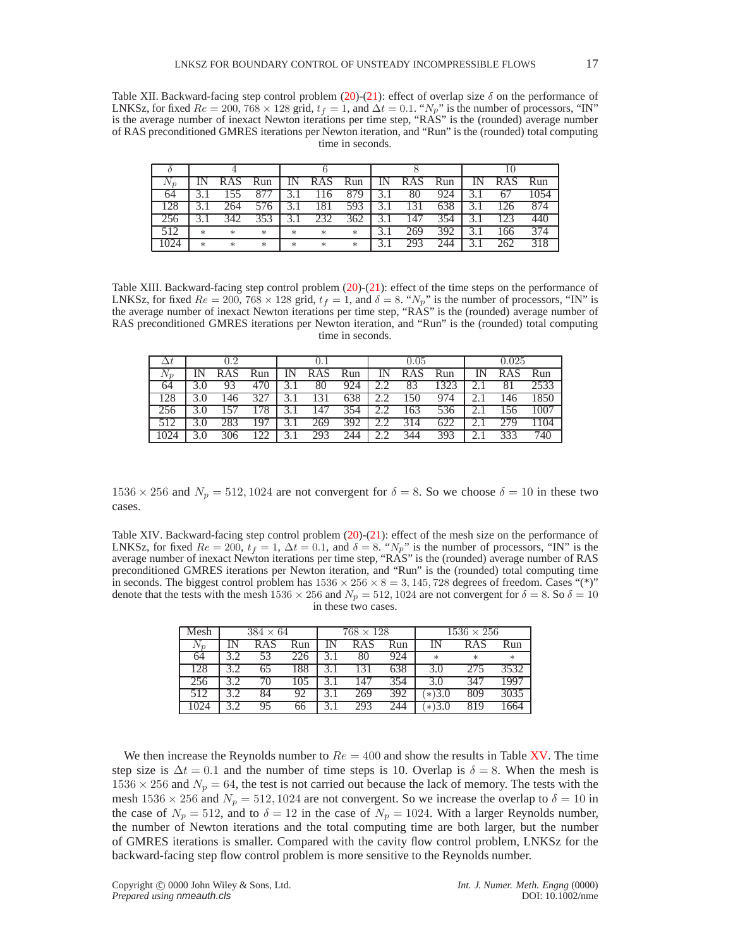<span id="page-16-0"></span>Table XII. Backward-facing step control problem [\(20\)](#page-13-1)-[\(21\)](#page-14-0): effect of overlap size  $\delta$  on the performance of LNKSz, for fixed  $Re = 200, 768 \times 128$  grid,  $t_f = 1$ , and  $\Delta t = 0.1$ . " $N_p$ " is the number of processors, "IN" is the average number of inexact Newton iterations per time step, "RAS" is the (rounded) average number of RAS preconditioned GMRES iterations per Newton iteration, and "Run" is the (rounded) total computing time in seconds.

| Vη  |        |        | Run    | IΝ     | <b>RAS</b>       | Run | IN.           | <b>RAS</b>       | Run | <b>RAS</b> | Run  |
|-----|--------|--------|--------|--------|------------------|-----|---------------|------------------|-----|------------|------|
| 64  |        |        |        |        | $\overline{11}6$ | 879 | $\rightarrow$ | 80               | 924 |            | 1054 |
| 128 |        |        |        |        | 181              | 593 |               |                  | 638 | 26         | 874  |
| 256 |        | 342    | 353    |        | 232              | 362 |               | $\overline{147}$ | 354 | 123        | 440  |
|     | $\ast$ | $\ast$ | $\ast$ | $\ast$ | $\ast$           | $*$ |               | 269              | 392 | 66         | 374  |
| 024 | $\ast$ | $\ast$ | $\ast$ | $\ast$ | $\ast$           | $*$ |               | 793              | 244 | 262        | 318  |

<span id="page-16-1"></span>Table XIII. Backward-facing step control problem  $(20)-(21)$  $(20)-(21)$  $(20)-(21)$ : effect of the time steps on the performance of LNKSz, for fixed  $Re = 200$ , 768  $\times$  128 grid,  $t_f = 1$ , and  $\delta = 8$ . " $N_p$ " is the number of processors, "IN" is the average number of inexact Newton iterations per time step, "RAS" is the (rounded) average number of RAS preconditioned GMRES iterations per Newton iteration, and "Run" is the (rounded) total computing time in seconds.

|       | 0.2 |            |     | 0.1 |            |     | 0.05 |            |      | 0.025 |            |      |
|-------|-----|------------|-----|-----|------------|-----|------|------------|------|-------|------------|------|
| $N_n$ |     | <b>RAS</b> | Run | IN  | <b>RAS</b> | Run | IN   | <b>RAS</b> | Run  |       | <b>RAS</b> | Run  |
| 64    |     |            | 470 |     | 80         | 924 |      | 83         | 1323 |       | 81         | 2533 |
| 128   |     | 46         | 327 |     | 131        | 638 |      | 150        | 974  | ۷.I   | 146        | 1850 |
| 256   |     |            | 178 |     | 147        | 354 | 2.2  | 163        | 536  |       | 156        | 1007 |
|       |     |            |     |     | 269        | 392 |      | 314        | 622  |       | 279        | 104  |
|       |     |            |     |     | 293        | 244 |      | 344        | 393  |       | 333        | 740  |

 $1536 \times 256$  and  $N_p = 512, 1024$  are not convergent for  $\delta = 8$ . So we choose  $\delta = 10$  in these two cases.

<span id="page-16-2"></span>Table XIV. Backward-facing step control problem [\(20\)](#page-13-1)-[\(21\)](#page-14-0): effect of the mesh size on the performance of LNKSz, for fixed  $Re = 200$ ,  $t_f = 1$ ,  $\Delta t = 0.1$ , and  $\delta = 8$ . " $N_p$ " is the number of processors, "IN" is the average number of inexact Newton iterations per time step, "RAS" is the (rounded) average number of RAS preconditioned GMRES iterations per Newton iteration, and "Run" is the (rounded) total computing time in seconds. The biggest control problem has  $1536 \times 256 \times 8 = 3,145,728$  degrees of freedom. Cases "(\*)" denote that the tests with the mesh  $1536 \times 256$  and  $N_p = 512, 1024$  are not convergent for  $\delta = 8$ . So  $\delta = 10$ in these two cases.

| Mesh  |     | $384 \times 64$ |     | $768 \times 128$ |     | $1536 \times 256$ |            |      |  |
|-------|-----|-----------------|-----|------------------|-----|-------------------|------------|------|--|
| $V_n$ |     | RAS             | Run | <b>RAS</b>       | Run |                   | <b>RAS</b> | Run  |  |
| 64    |     | 53              | 226 | 80               | 924 | $\ast$            | $\ast$     | *    |  |
| 128   |     |                 | 188 | 131              | 638 | 3.0               | 275        | 3532 |  |
| 256   |     | 70              | 105 | 147              | 354 | 3.0               | 347        | 1997 |  |
| 512   | 3 つ | 84              | 92  | 269              | 392 | $(*)3.0$          | 809        | 3035 |  |
|       |     | 95              | 66  | 293              | 744 | $*3.0$            | 819        | 664  |  |

We then increase the Reynolds number to  $Re = 400$  and show the results in Table [XV.](#page-17-3) The time step size is  $\Delta t = 0.1$  and the number of time steps is 10. Overlap is  $\delta = 8$ . When the mesh is  $1536 \times 256$  and  $N_p = 64$ , the test is not carried out because the lack of memory. The tests with the mesh  $1536 \times 256$  and  $N_p = 512, 1024$  are not convergent. So we increase the overlap to  $\delta = 10$  in the case of  $N_p = 512$ , and to  $\delta = 12$  in the case of  $N_p = 1024$ . With a larger Reynolds number, the number of Newton iterations and the total computing time are both larger, but the number of GMRES iterations is smaller. Compared with the cavity flow control problem, LNKSz for the backward-facing step flow control problem is more sensitive to the Reynolds number.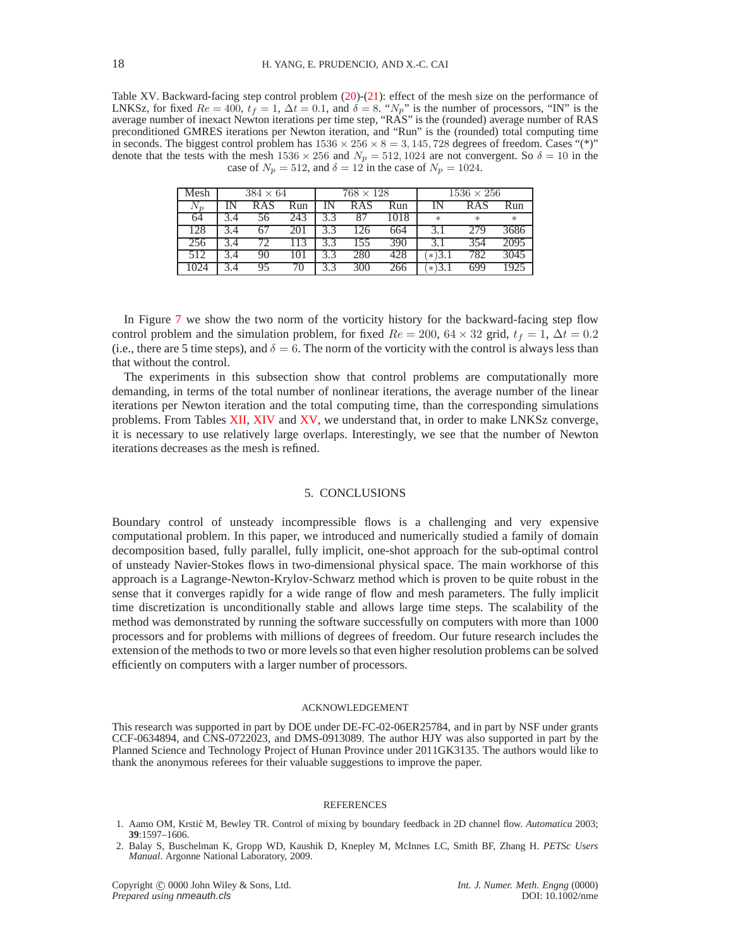<span id="page-17-3"></span>Table XV. Backward-facing step control problem [\(20\)](#page-13-1)-[\(21\)](#page-14-0): effect of the mesh size on the performance of LNKSz, for fixed  $Re = 400$ ,  $t_f = 1$ ,  $\Delta t = 0.1$ , and  $\delta = 8$ . " $N_p$ " is the number of processors, "IN" is the average number of inexact Newton iterations per time step, "RAS" is the (rounded) average number of RAS preconditioned GMRES iterations per Newton iteration, and "Run" is the (rounded) total computing time in seconds. The biggest control problem has  $1536 \times 256 \times 8 = 3,145,728$  degrees of freedom. Cases "(\*)" denote that the tests with the mesh  $1536 \times 256$  and  $N_p = 512, 1024$  are not convergent. So  $\delta = 10$  in the case of  $N_p = 512$ , and  $\delta = 12$  in the case of  $N_p = 1024$ .

| Mesh  | $384 \times 64$ |     | $768 \times 128$ |      | $1536 \times 256$ |        |        |  |
|-------|-----------------|-----|------------------|------|-------------------|--------|--------|--|
| $V_p$ | <b>RAS</b>      | Run | <b>RAS</b>       | Run  |                   | RAS    | Run    |  |
| 64    | 56              | 243 |                  | 1018 | $\ast$            | $\ast$ | $\ast$ |  |
| 128   | 67              | 201 | 126              | 664  |                   | 279    |        |  |
| 256   |                 | 13  | 155              | 390  |                   | 354    | 2095   |  |
|       | 90              | .01 | 280              | 428  | $(1*)3.1$         | 782    | 3045   |  |
|       | 95              | 70  | 300              | 266  | $*3.1$            | 699    | 1925   |  |

In Figure [7](#page-21-1) we show the two norm of the vorticity history for the backward-facing step flow control problem and the simulation problem, for fixed  $Re = 200$ ,  $64 \times 32$  grid,  $t_f = 1$ ,  $\Delta t = 0.2$ (i.e., there are 5 time steps), and  $\delta = 6$ . The norm of the vorticity with the control is always less than that without the control.

The experiments in this subsection show that control problems are computationally more demanding, in terms of the total number of nonlinear iterations, the average number of the linear iterations per Newton iteration and the total computing time, than the corresponding simulations problems. From Tables [XII,](#page-16-0) [XIV](#page-16-2) and [XV,](#page-17-3) we understand that, in order to make LNKSz converge, it is necessary to use relatively large overlaps. Interestingly, we see that the number of Newton iterations decreases as the mesh is refined.

# 5. CONCLUSIONS

<span id="page-17-0"></span>Boundary control of unsteady incompressible flows is a challenging and very expensive computational problem. In this paper, we introduced and numerically studied a family of domain decomposition based, fully parallel, fully implicit, one-shot approach for the sub-optimal control of unsteady Navier-Stokes flows in two-dimensional physical space. The main workhorse of this approach is a Lagrange-Newton-Krylov-Schwarz method which is proven to be quite robust in the sense that it converges rapidly for a wide range of flow and mesh parameters. The fully implicit time discretization is unconditionally stable and allows large time steps. The scalability of the method was demonstrated by running the software successfully on computers with more than 1000 processors and for problems with millions of degrees of freedom. Our future research includes the extension of the methods to two or more levels so that even higher resolution problems can be solved efficiently on computers with a larger number of processors.

#### ACKNOWLEDGEMENT

This research was supported in part by DOE under DE-FC-02-06ER25784, and in part by NSF under grants CCF-0634894, and CNS-0722023, and DMS-0913089. The author HJY was also supported in part by the Planned Science and Technology Project of Hunan Province under 2011GK3135. The authors would like to thank the anonymous referees for their valuable suggestions to improve the paper.

#### REFERENCES

- <span id="page-17-1"></span>1. Aamo OM, Krsti´c M, Bewley TR. Control of mixing by boundary feedback in 2D channel flow. *Automatica* 2003; **39**:1597–1606.
- <span id="page-17-2"></span>2. Balay S, Buschelman K, Gropp WD, Kaushik D, Knepley M, McInnes LC, Smith BF, Zhang H. *PETSc Users Manual*. Argonne National Laboratory, 2009.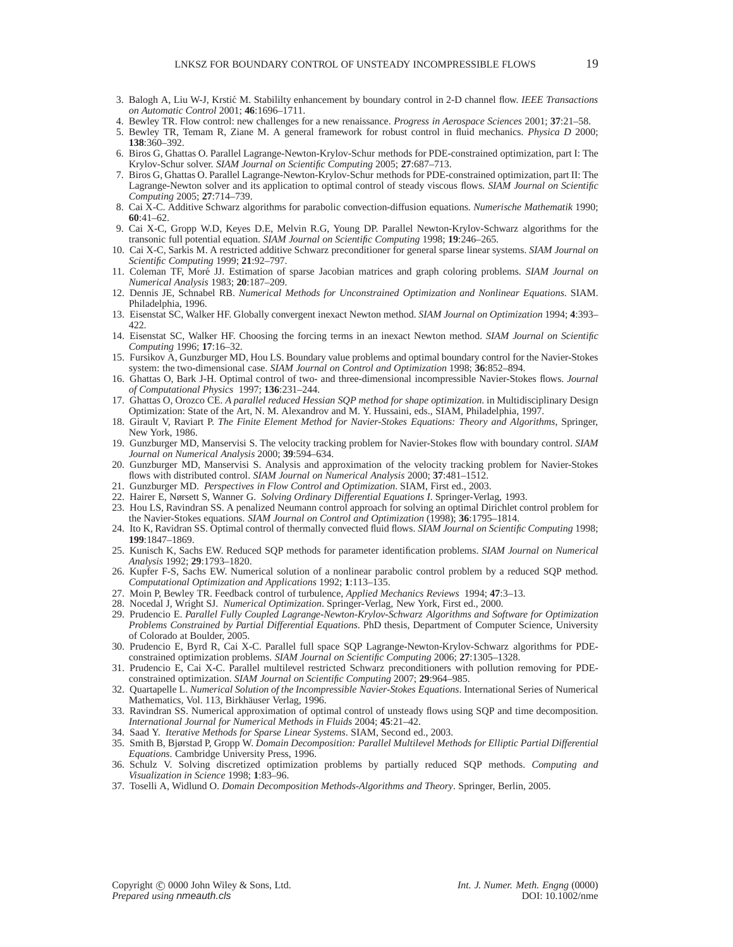- <span id="page-18-9"></span>3. Balogh A, Liu W-J, Krsti´c M. Stabililty enhancement by boundary control in 2-D channel flow. *IEEE Transactions on Automatic Control* 2001; **46**:1696–1711.
- <span id="page-18-5"></span><span id="page-18-4"></span>4. Bewley TR. Flow control: new challenges for a new renaissance. *Progress in Aerospace Sciences* 2001; **37**:21–58.
- <span id="page-18-7"></span>5. Bewley TR, Temam R, Ziane M. A general framework for robust control in fluid mechanics. *Physica D* 2000; **138**:360–392.
- <span id="page-18-8"></span>6. Biros G, Ghattas O. Parallel Lagrange-Newton-Krylov-Schur methods for PDE-constrained optimization, part I: The Krylov-Schur solver. *SIAM Journal on Scientific Computing* 2005; **27**:687–713.
- 7. Biros G, Ghattas O. Parallel Lagrange-Newton-Krylov-Schur methods for PDE-constrained optimization, part II: The Lagrange-Newton solver and its application to optimal control of steady viscous flows. *SIAM Journal on Scientific Computing* 2005; **27**:714–739.
- <span id="page-18-30"></span>8. Cai X-C. Additive Schwarz algorithms for parabolic convection-diffusion equations. *Numerische Mathematik* 1990; **60**:41–62.
- <span id="page-18-33"></span>9. Cai X-C, Gropp W.D, Keyes D.E, Melvin R.G, Young DP. Parallel Newton-Krylov-Schwarz algorithms for the transonic full potential equation. *SIAM Journal on Scientific Computing* 1998; **19**:246–265.
- <span id="page-18-29"></span>10. Cai X-C, Sarkis M. A restricted additive Schwarz preconditioner for general sparse linear systems. *SIAM Journal on Scientific Computing* 1999; **21**:92–797.
- <span id="page-18-32"></span>11. Coleman TF, Mor´e JJ. Estimation of sparse Jacobian matrices and graph coloring problems. *SIAM Journal on Numerical Analysis* 1983; **20**:187–209.
- <span id="page-18-28"></span>12. Dennis JE, Schnabel RB. *Numerical Methods for Unconstrained Optimization and Nonlinear Equations*. SIAM. Philadelphia, 1996.
- <span id="page-18-24"></span>13. Eisenstat SC, Walker HF. Globally convergent inexact Newton method. *SIAM Journal on Optimization* 1994; **4**:393– 422.
- <span id="page-18-25"></span>14. Eisenstat SC, Walker HF. Choosing the forcing terms in an inexact Newton method. *SIAM Journal on Scientific Computing* 1996; **17**:16–32.
- <span id="page-18-14"></span>15. Fursikov A, Gunzburger MD, Hou LS. Boundary value problems and optimal boundary control for the Navier-Stokes system: the two-dimensional case. *SIAM Journal on Control and Optimization* 1998; **36**:852–894.
- <span id="page-18-19"></span>16. Ghattas O, Bark J-H. Optimal control of two- and three-dimensional incompressible Navier-Stokes flows. *Journal of Computational Physics* 1997; **136**:231–244.
- <span id="page-18-20"></span>17. Ghattas O, Orozco CE. *A parallel reduced Hessian SQP method for shape optimization*. in Multidisciplinary Design Optimization: State of the Art, N. M. Alexandrov and M. Y. Hussaini, eds., SIAM, Philadelphia, 1997.
- <span id="page-18-15"></span>18. Girault V, Raviart P. *The Finite Element Method for Navier-Stokes Equations: Theory and Algorithms*, Springer, New York, 1986.
- <span id="page-18-11"></span>19. Gunzburger MD, Manservisi S. The velocity tracking problem for Navier-Stokes flow with boundary control. *SIAM Journal on Numerical Analysis* 2000; **39**:594–634.
- <span id="page-18-12"></span><span id="page-18-0"></span>20. Gunzburger MD, Manservisi S. Analysis and approximation of the velocity tracking problem for Navier-Stokes flows with distributed control. *SIAM Journal on Numerical Analysis* 2000; **37**:481–1512.
- 21. Gunzburger MD. *Perspectives in Flow Control and Optimization*. SIAM, First ed., 2003.
- <span id="page-18-18"></span><span id="page-18-16"></span>22. Hairer E, Nørsett S, Wanner G. *Solving Ordinary Differential Equations I*. Springer-Verlag, 1993.
- <span id="page-18-17"></span>23. Hou LS, Ravindran SS. A penalized Neumann control approach for solving an optimal Dirichlet control problem for the Navier-Stokes equations. *SIAM Journal on Control and Optimization* (1998); **36**:1795–1814.
- 24. Ito K, Ravidran SS. Optimal control of thermally convected fluid flows. *SIAM Journal on Scientific Computing* 1998; **199**:1847–1869.
- <span id="page-18-21"></span>25. Kunisch K, Sachs EW. Reduced SQP methods for parameter identification problems. *SIAM Journal on Numerical Analysis* 1992; **29**:1793–1820.
- <span id="page-18-22"></span>26. Kupfer F-S, Sachs EW. Numerical solution of a nonlinear parabolic control problem by a reduced SQP method. *Computational Optimization and Applications* 1992; **1**:113–135.
- <span id="page-18-6"></span>27. Moin P, Bewley TR. Feedback control of turbulence, *Applied Mechanics Reviews* 1994; **47**:3–13.
- <span id="page-18-2"></span>28. Nocedal J, Wright SJ. *Numerical Optimization*. Springer-Verlag, New York, First ed., 2000.
- 29. Prudencio E. *Parallel Fully Coupled Lagrange-Newton-Krylov-Schwarz Algorithms and Software for Optimization Problems Constrained by Partial Differential Equations*. PhD thesis, Department of Computer Science, University of Colorado at Boulder, 2005.
- <span id="page-18-1"></span>30. Prudencio E, Byrd R, Cai X-C. Parallel full space SQP Lagrange-Newton-Krylov-Schwarz algorithms for PDEconstrained optimization problems. *SIAM Journal on Scientific Computing* 2006; **27**:1305–1328.
- <span id="page-18-3"></span>31. Prudencio E, Cai X-C. Parallel multilevel restricted Schwarz preconditioners with pollution removing for PDEconstrained optimization. *SIAM Journal on Scientific Computing* 2007; **29**:964–985.
- <span id="page-18-13"></span>32. Quartapelle L. *Numerical Solution of the Incompressible Navier-Stokes Equations*. International Series of Numerical Mathematics, Vol. 113, Birkhäuser Verlag, 1996.
- <span id="page-18-10"></span>33. Ravindran SS. Numerical approximation of optimal control of unsteady flows using SQP and time decomposition. *International Journal for Numerical Methods in Fluids* 2004; **45**:21–42.
- <span id="page-18-31"></span>34. Saad Y. *Iterative Methods for Sparse Linear Systems*. SIAM, Second ed., 2003.
- <span id="page-18-26"></span>35. Smith B, Bjørstad P, Gropp W. *Domain Decomposition: Parallel Multilevel Methods for Elliptic Partial Differential Equations*. Cambridge University Press, 1996.
- <span id="page-18-23"></span>36. Schulz V. Solving discretized optimization problems by partially reduced SQP methods. *Computing and Visualization in Science* 1998; **1**:83–96.
- <span id="page-18-27"></span>37. Toselli A, Widlund O. *Domain Decomposition Methods-Algorithms and Theory*. Springer, Berlin, 2005.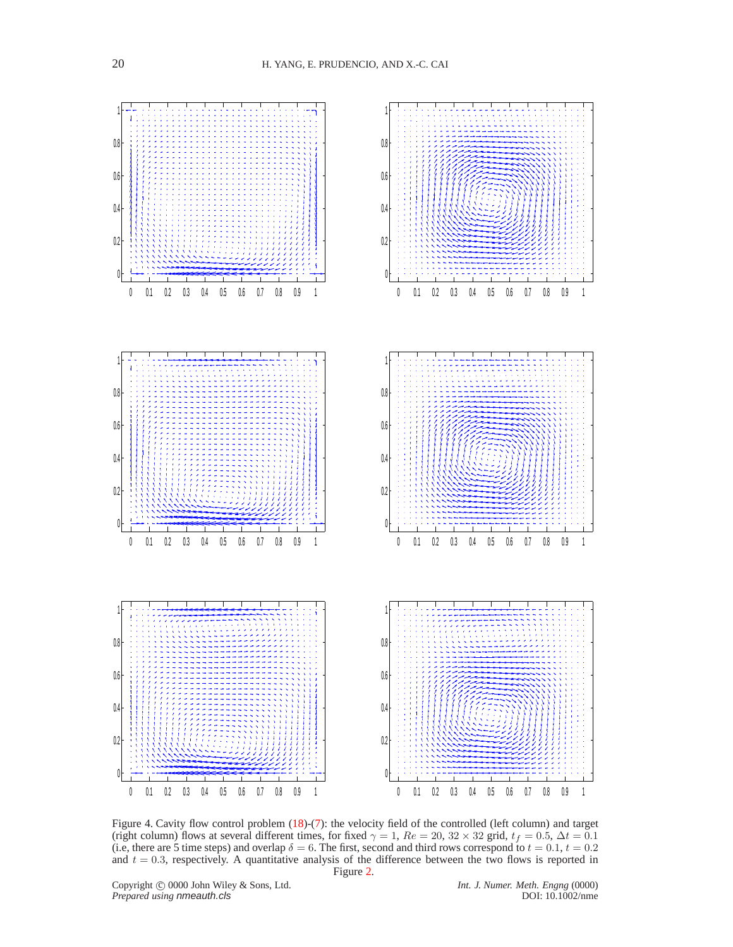

<span id="page-19-0"></span>Figure 4. Cavity flow control problem [\(18\)](#page-8-0)-[\(7\)](#page-3-0): the velocity field of the controlled (left column) and target (right column) flows at several different times, for fixed  $\gamma = 1$ ,  $Re = 20$ ,  $32 \times 32$  grid,  $t_f = 0.5$ ,  $\Delta t = 0.1$ (i.e, there are 5 time steps) and overlap  $\delta = 6$ . The first, second and third rows correspond to  $t = 0.1$ ,  $t = 0.2$ and  $t = 0.3$ , respectively. A quantitative analysis of the difference between the two flows is reported in Figure [2.](#page-9-0)

Copyright 
copyright 
copyright 
copyright 
copyright

copyright

copyright

copyright

copyright

copyright

copyright

copyright

copyright

copyright

copyright

copyright

copyright

copyright

copyright

copyright

co *Prepared using nmeauth.cls*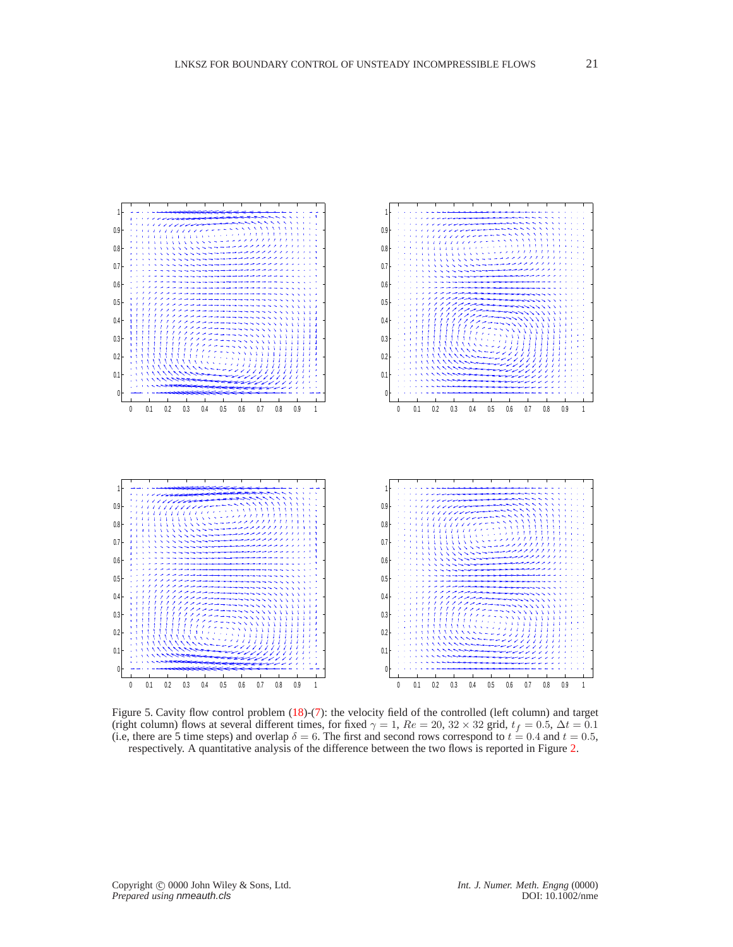

<span id="page-20-0"></span>Figure 5. Cavity flow control problem  $(18)$ -[\(7\)](#page-3-0): the velocity field of the controlled (left column) and target (right column) flows at several different times, for fixed  $\gamma = 1$ ,  $Re = 20$ ,  $32 \times 32$  grid,  $t_f = 0.5$ ,  $\Delta t = 0.1$ (i.e, there are 5 time steps) and overlap  $\delta = 6$ . The first and second rows correspond to  $t = 0.4$  and  $t = 0.5$ , respectively. A quantitative analysis of the difference between the two flows is reported in Figure [2.](#page-9-0)